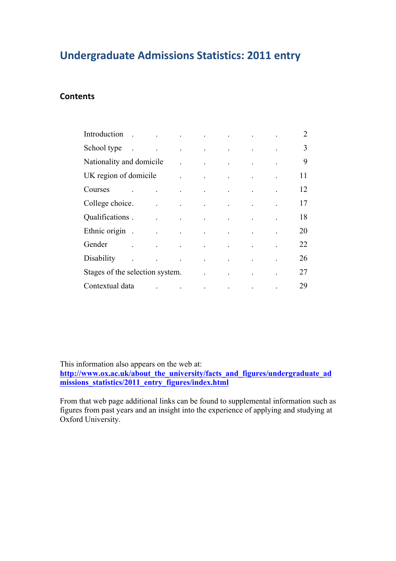## **Undergraduate Admissions Statistics: 2011 entry**

### **Contents**

| Introduction.                   | $\mathcal{L}^{\mathcal{A}}$ and $\mathcal{L}^{\mathcal{A}}$ are the set of the set of the set of the set of $\mathcal{L}^{\mathcal{A}}$                                                                                                               |                                                                                                                                                                                                                                                                                                                                                                                                                                                           |  | 2  |
|---------------------------------|-------------------------------------------------------------------------------------------------------------------------------------------------------------------------------------------------------------------------------------------------------|-----------------------------------------------------------------------------------------------------------------------------------------------------------------------------------------------------------------------------------------------------------------------------------------------------------------------------------------------------------------------------------------------------------------------------------------------------------|--|----|
| School type                     | $\mathcal{L}^{\mathcal{A}}$ and $\mathcal{L}^{\mathcal{A}}$ are the set of the set of the set of the set of $\mathcal{L}^{\mathcal{A}}$                                                                                                               |                                                                                                                                                                                                                                                                                                                                                                                                                                                           |  | 3  |
| Nationality and domicile        |                                                                                                                                                                                                                                                       | $\mathcal{L}^{\mathcal{L}}(\mathcal{L}^{\mathcal{L}}(\mathcal{L}^{\mathcal{L}}(\mathcal{L}^{\mathcal{L}}(\mathcal{L}^{\mathcal{L}}(\mathcal{L}^{\mathcal{L}}(\mathcal{L}^{\mathcal{L}}(\mathcal{L}^{\mathcal{L}}(\mathcal{L}^{\mathcal{L}}(\mathcal{L}^{\mathcal{L}}(\mathcal{L}^{\mathcal{L}}(\mathcal{L}^{\mathcal{L}}(\mathcal{L}^{\mathcal{L}}(\mathcal{L}^{\mathcal{L}}(\mathcal{L}^{\mathcal{L}}(\mathcal{L}^{\mathcal{L}}(\mathcal{L}^{\mathcal{L$ |  | 9  |
| UK region of domicile           |                                                                                                                                                                                                                                                       | $\mathcal{A}$ and $\mathcal{A}$ are all the set of the set of the set of the set of the $\mathcal{A}$                                                                                                                                                                                                                                                                                                                                                     |  | 11 |
| Courses                         |                                                                                                                                                                                                                                                       | $\mathcal{A}$ is a simple polarization of the simple state $\mathcal{A}$ , and $\mathcal{A}$                                                                                                                                                                                                                                                                                                                                                              |  | 12 |
| College choice.                 |                                                                                                                                                                                                                                                       | $\mathcal{L}^{\mathcal{A}}$ and $\mathcal{L}^{\mathcal{A}}$ are the set of the set of the set of the set of the $\mathcal{L}^{\mathcal{A}}$                                                                                                                                                                                                                                                                                                               |  | 17 |
| Qualifications.                 | the contract of the contract of the contract of the                                                                                                                                                                                                   |                                                                                                                                                                                                                                                                                                                                                                                                                                                           |  | 18 |
| Ethnic origin.                  | $\mathcal{L}^{\mathcal{A}}$ and $\mathcal{L}^{\mathcal{A}}$ are the set of the set of the set of the set of the set of the set of the set of the set of the set of the set of the set of the set of the set of the set of the set of the set of the s |                                                                                                                                                                                                                                                                                                                                                                                                                                                           |  | 20 |
| Gender                          | $\mathcal{L}^{\mathcal{A}}$ and the set of the set of the set of the set of the set of the set of the set of the set of the set of the set of the set of the set of the set of the set of the set of the set of the set of the set of the             |                                                                                                                                                                                                                                                                                                                                                                                                                                                           |  | 22 |
| Disability                      |                                                                                                                                                                                                                                                       | $\mathcal{L}^{\mathcal{A}}$ and $\mathcal{L}^{\mathcal{A}}$ are the set of the set of the set of the set of the set of the set of the set of the set of the set of the set of the set of the set of the set of the set of the set of the set of the s                                                                                                                                                                                                     |  | 26 |
| Stages of the selection system. |                                                                                                                                                                                                                                                       |                                                                                                                                                                                                                                                                                                                                                                                                                                                           |  | 27 |
| Contextual data                 | and the contract of the contract of the contract of                                                                                                                                                                                                   |                                                                                                                                                                                                                                                                                                                                                                                                                                                           |  | 29 |

This information also appears on the web at:

**http://www.ox.ac.uk/about\_the\_university/facts\_and\_figures/undergraduate\_ad missions\_statistics/2011\_entry\_figures/index.html**

From that web page additional links can be found to supplemental information such as figures from past years and an insight into the experience of applying and studying at Oxford University.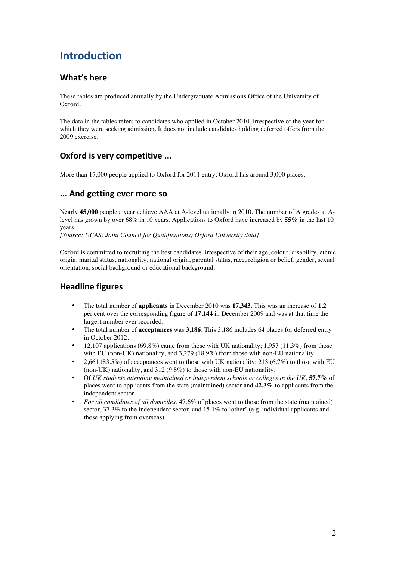## **Introduction**

## **What's here**

These tables are produced annually by the Undergraduate Admissions Office of the University of Oxford.

The data in the tables refers to candidates who applied in October 2010, irrespective of the year for which they were seeking admission. It does not include candidates holding deferred offers from the 2009 exercise.

## **Oxford is very competitive ...**

More than 17,000 people applied to Oxford for 2011 entry. Oxford has around 3,000 places.

### **...!And!getting!ever!more!so**

Nearly **45,000** people a year achieve AAA at A-level nationally in 2010. The number of A grades at Alevel has grown by over 68% in 10 years. Applications to Oxford have increased by **55%** in the last 10 years*.*

*[Source: UCAS; Joint Council for Qualifications; Oxford University data]*

Oxford is committed to recruiting the best candidates, irrespective of their age, colour, disability, ethnic origin, marital status, nationality, national origin, parental status, race, religion or belief, gender, sexual orientation, social background or educational background.

## **Headline figures**

- The total number of **applicants** in December 2010 was **17,343**. This was an increase of **1.2** per cent over the corresponding figure of **17,144** in December 2009 and was at that time the largest number ever recorded.
- The total number of **acceptances** was **3,186**. This 3,186 includes 64 places for deferred entry in October 2012.
- 12,107 applications (69.8%) came from those with UK nationality;  $1,957$  (11.3%) from those with EU (non-UK) nationality, and 3,279 (18.9%) from those with non-EU nationality.
- 2,661 (83.5%) of acceptances went to those with UK nationality; 213 (6.7%) to those with EU (non-UK) nationality, and 312 (9.8%) to those with non-EU nationality.
- Of *UK students attending maintained or independent schools or colleges in the UK*, **57.7%** of places went to applicants from the state (maintained) sector and **42.3%** to applicants from the independent sector.
- *For all candidates of all domiciles*, 47.6% of places went to those from the state (maintained) sector, 37.3% to the independent sector, and 15.1% to 'other' (e.g. individual applicants and those applying from overseas).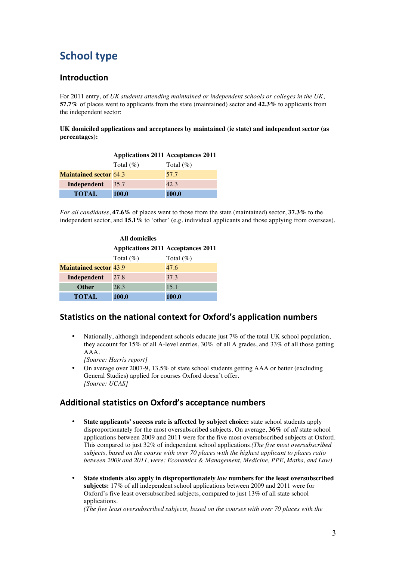# **School type**

### **Introduction**

For 2011 entry, of *UK students attending maintained or independent schools or colleges in the UK*, **57.7%** of places went to applicants from the state (maintained) sector and **42.3%** to applicants from the independent sector:

**UK domiciled applications and acceptances by maintained (ie state) and independent sector (as percentages):**

|                               | <b>Applications 2011 Acceptances 2011</b> |              |
|-------------------------------|-------------------------------------------|--------------|
|                               | Total $(\%)$                              | Total $(\%)$ |
| <b>Maintained sector 64.3</b> |                                           | 57.7         |
| Independent                   | 35.7                                      | 42.3         |
| <b>TOTAL</b>                  | 100.0                                     | <b>100.0</b> |

*For all candidates*, **47.6%** of places went to those from the state (maintained) sector, **37.3%** to the independent sector, and **15.1%** to 'other' (e.g. individual applicants and those applying from overseas).

| <b>All domiciles</b>          |                                           |              |  |  |  |  |  |
|-------------------------------|-------------------------------------------|--------------|--|--|--|--|--|
|                               | <b>Applications 2011 Acceptances 2011</b> |              |  |  |  |  |  |
|                               | Total $(\%)$                              | Total $(\%)$ |  |  |  |  |  |
| <b>Maintained sector 43.9</b> |                                           | 47.6         |  |  |  |  |  |
| Independent                   | 27.8                                      | 37.3         |  |  |  |  |  |
| <b>Other</b>                  | 28.3                                      | 15.1         |  |  |  |  |  |
| <b>TOTAL</b>                  | 100.0                                     | 100.0        |  |  |  |  |  |

### **Statistics on the national context for Oxford's application numbers**

• Nationally, although independent schools educate just 7% of the total UK school population, they account for 15% of all A-level entries, 30% of all A grades, and 33% of all those getting AAA.

*[Source: Harris report]*

• On average over 2007-9, 13.5% of state school students getting AAA or better (excluding General Studies) applied for courses Oxford doesn't offer. *[Source: UCAS]*

### Additional statistics on Oxford's acceptance numbers

- **State applicants' success rate is affected by subject choice:** state school students apply disproportionately for the most oversubscribed subjects. On average, **36%** of *all* state school applications between 2009 and 2011 were for the five most oversubscribed subjects at Oxford. This compared to just 32% of independent school applications.*(The five most oversubscribed subjects, based on the course with over 70 places with the highest applicant to places ratio between 2009 and 2011, were: Economics & Management, Medicine, PPE, Maths, and Law)*
- **State students also apply in disproportionately** *low* **numbers for the least oversubscribed subjects:** 17% of all independent school applications between 2009 and 2011 were for Oxford's five least oversubscribed subjects, compared to just 13% of all state school applications.

*(The five least oversubscribed subjects, based on the courses with over 70 places with the*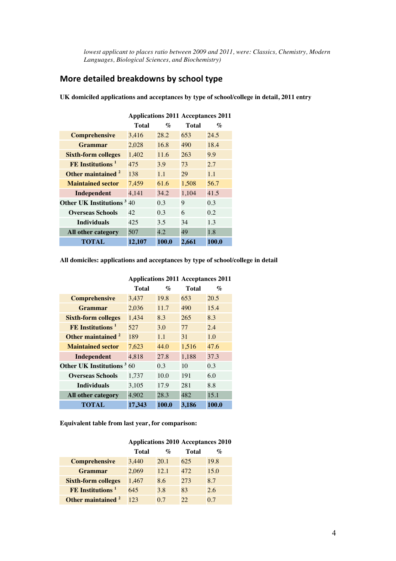*lowest applicant to places ratio between 2009 and 2011, were: Classics, Chemistry, Modern Languages, Biological Sciences, and Biochemistry)* 

## **More detailed breakdowns by school type**

**UK domiciled applications and acceptances by type of school/college in detail, 2011 entry**

|                                  | Applications 2011 Acceptances 2011 |                  |       |                |  |  |
|----------------------------------|------------------------------------|------------------|-------|----------------|--|--|
|                                  | Total                              | $\mathcal{O}'_0$ | Total | $\mathcal{O}'$ |  |  |
| <b>Comprehensive</b>             | 3,416                              | 28.2             | 653   | 24.5           |  |  |
| <b>Grammar</b>                   | 2,028                              | 16.8             | 490   | 18.4           |  |  |
| <b>Sixth-form colleges</b>       | 1,402                              | 11.6             | 263   | 9.9            |  |  |
| $FE$ Institutions <sup>1</sup>   | 475                                | 3.9              | 73    | 2.7            |  |  |
| Other maintained <sup>2</sup>    | 138                                | 1.1              | 29    | 1.1            |  |  |
| <b>Maintained sector</b>         | 7,459                              | 61.6             | 1,508 | 56.7           |  |  |
| Independent                      | 4,141                              | 34.2             | 1,104 | 41.5           |  |  |
| <b>Other UK Institutions</b> 340 |                                    | 0.3              | 9     | 0.3            |  |  |
| <b>Overseas Schools</b>          | 42                                 | 0.3              | 6     | 0.2            |  |  |
| <b>Individuals</b>               | 425                                | 3.5              | 34    | 1.3            |  |  |
| All other category               | 507                                | 4.2              | 49    | 1.8            |  |  |
| TOTAL                            | 12.107                             | 100.0            | 2,661 | 100.0          |  |  |

**Applications 2011 Acceptances 2011**

**All domiciles: applications and acceptances by type of school/college in detail**

|                                   | Total  | $\mathcal{O}'_0$ | Total | $\mathcal{O}'$ |
|-----------------------------------|--------|------------------|-------|----------------|
| <b>Comprehensive</b>              | 3,437  | 19.8             | 653   | 20.5           |
| Grammar                           | 2,036  | 11.7             | 490   | 15.4           |
| <b>Sixth-form colleges</b>        | 1,434  | 8.3              | 265   | 8.3            |
| $FE$ Institutions <sup>1</sup>    | 527    | 3.0              | 77    | 2.4            |
| Other maintained <sup>2</sup>     | 189    | 1.1              | 31    | 1.0            |
| <b>Maintained sector</b>          | 7,623  | 44.0             | 1,516 | 47.6           |
| Independent                       | 4,818  | 27.8             | 1,188 | 37.3           |
| <b>Other UK Institutions</b> 3 60 |        | 0.3              | 10    | 0.3            |
| <b>Overseas Schools</b>           | 1,737  | 10.0             | 191   | 6.0            |
| <b>Individuals</b>                | 3,105  | 17.9             | 281   | 8.8            |
| All other category                | 4,902  | 28.3             | 482   | 15.1           |
| TOTAL                             | 17,343 | 100.0            | 3.186 | 100.0          |

**Applications 2011 Acceptances 2011**

**Equivalent table from last year, for comparison:**

|                               | <b>Applications 2010 Acceptances 2010</b> |                           |       |                 |  |  |  |
|-------------------------------|-------------------------------------------|---------------------------|-------|-----------------|--|--|--|
|                               | Total                                     | $\mathcal{O}_\mathcal{D}$ | Total | $\mathcal{O}_0$ |  |  |  |
| <b>Comprehensive</b>          | 3.440                                     | 20.1                      | 625   | 19.8            |  |  |  |
| <b>Grammar</b>                | 2,069                                     | 12.1                      | 472   | 15.0            |  |  |  |
| <b>Sixth-form colleges</b>    | 1,467                                     | 8.6                       | 273   | 8.7             |  |  |  |
| FE Institutions <sup>1</sup>  | 645                                       | 3.8                       | 83    | 2.6             |  |  |  |
| Other maintained <sup>2</sup> | 123                                       | 0.7                       | 22    | 0.7             |  |  |  |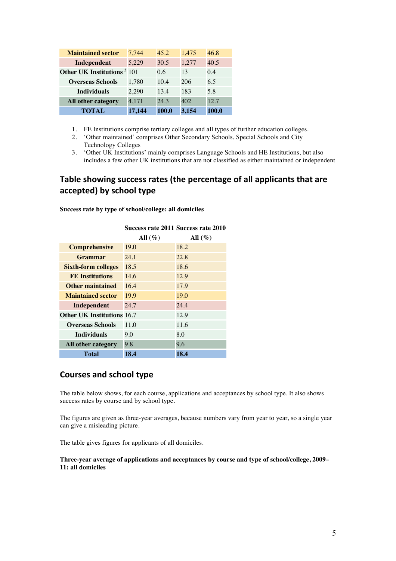| <b>Maintained sector</b>               | 7.744  | 45.2  | 1,475 | 46.8  |
|----------------------------------------|--------|-------|-------|-------|
| Independent                            | 5,229  | 30.5  | 1,277 | 40.5  |
| Other UK Institutions <sup>3</sup> 101 |        | 0.6   | 13    | 0.4   |
| <b>Overseas Schools</b>                | 1,780  | 10.4  | 206   | 6.5   |
| <b>Individuals</b>                     | 2,290  | 13.4  | 183   | 5.8   |
| All other category                     | 4,171  | 24.3  | 402   | 12.7  |
| TOTAL                                  | 17,144 | 100.0 | 3,154 | 100.0 |

- 1. FE Institutions comprise tertiary colleges and all types of further education colleges.
- 2. 'Other maintained' comprises Other Secondary Schools, Special Schools and City Technology Colleges
- 3. 'Other UK Institutions' mainly comprises Language Schools and HE Institutions, but also includes a few other UK institutions that are not classified as either maintained or independent

## Table showing success rates (the percentage of all applicants that are accepted) by school type

| Success rate 2011 Success rate 2010 |                                   |  |  |  |
|-------------------------------------|-----------------------------------|--|--|--|
| All $(\%)$                          | All $(\%)$                        |  |  |  |
| 19.0                                | 18.2                              |  |  |  |
| 24.1                                | 22.8                              |  |  |  |
| 18.5                                | 18.6                              |  |  |  |
| 14.6                                | 12.9                              |  |  |  |
| 16.4                                | 17.9                              |  |  |  |
| 19.9                                | 19.0                              |  |  |  |
| 24.7                                | 24.4                              |  |  |  |
|                                     | 12.9                              |  |  |  |
| 11.0                                | 11.6                              |  |  |  |
| 9.0                                 | 8.0                               |  |  |  |
| 9.8                                 | 9.6                               |  |  |  |
| 18.4                                | 18.4                              |  |  |  |
|                                     | <b>Other UK Institutions 16.7</b> |  |  |  |

**Success rate by type of school/college: all domiciles**

### **Courses and school type**

The table below shows, for each course, applications and acceptances by school type. It also shows success rates by course and by school type.

The figures are given as three-year averages, because numbers vary from year to year, so a single year can give a misleading picture.

The table gives figures for applicants of all domiciles.

**Three-year average of applications and acceptances by course and type of school/college, 2009– 11: all domiciles**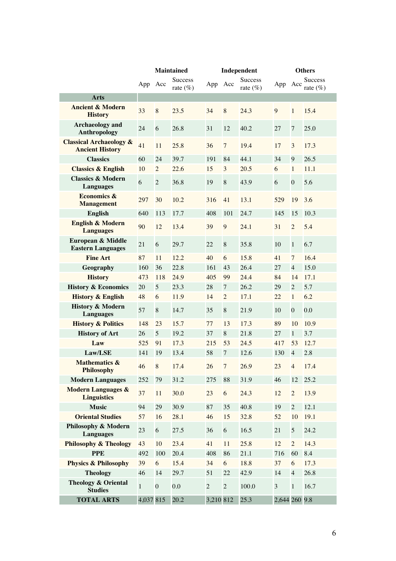|                                                              |              |                  | <b>Maintained</b>          |                |                | Independent            | <b>Others</b> |                |                                |
|--------------------------------------------------------------|--------------|------------------|----------------------------|----------------|----------------|------------------------|---------------|----------------|--------------------------------|
|                                                              | App Acc      |                  | <b>Success</b><br>rate (%) | App            | Acc            | Success<br>rate $(\%)$ | App           | Acc            | <b>Success</b><br>rate $(\% )$ |
| <b>Arts</b>                                                  |              |                  |                            |                |                |                        |               |                |                                |
| <b>Ancient &amp; Modern</b><br><b>History</b>                | 33           | 8                | 23.5                       | 34             | 8              | 24.3                   | 9             | $\mathbf{1}$   | 15.4                           |
| <b>Archaeology</b> and<br>Anthropology                       | 24           | 6                | 26.8                       | 31             | 12             | 40.2                   | 27            | $\overline{7}$ | 25.0                           |
| <b>Classical Archaeology &amp;</b><br><b>Ancient History</b> | 41           | 11               | 25.8                       | 36             | $\overline{7}$ | 19.4                   | 17            | 3              | 17.3                           |
| <b>Classics</b>                                              | 60           | 24               | 39.7                       | 191            | 84             | 44.1                   | 34            | 9              | 26.5                           |
| <b>Classics &amp; English</b>                                | 10           | $\overline{c}$   | 22.6                       | 15             | 3              | 20.5                   | 6             | $\mathbf{1}$   | 11.1                           |
| <b>Classics &amp; Modern</b><br><b>Languages</b>             | 6            | $\overline{2}$   | 36.8                       | 19             | 8              | 43.9                   | 6             | $\overline{0}$ | 5.6                            |
| <b>Economics &amp;</b><br><b>Management</b>                  | 297          | 30               | 10.2                       | 316            | 41             | 13.1                   | 529           | 19             | 3.6                            |
| <b>English</b>                                               | 640          | 113              | 17.7                       | 408            | 101            | 24.7                   | 145           | 15             | 10.3                           |
| <b>English &amp; Modern</b><br><b>Languages</b>              | 90           | 12               | 13.4                       | 39             | 9              | 24.1                   | 31            | $\overline{2}$ | 5.4                            |
| European & Middle<br><b>Eastern Languages</b>                | 21           | 6                | 29.7                       | 22             | 8              | 35.8                   | 10            | $\mathbf{1}$   | 6.7                            |
| <b>Fine Art</b>                                              | 87           | 11               | 12.2                       | 40             | 6              | 15.8                   | 41            | 7              | 16.4                           |
| Geography                                                    | 160          | 36               | 22.8                       | 161            | 43             | 26.4                   | 27            | $\overline{4}$ | 15.0                           |
| <b>History</b>                                               | 473          | 118              | 24.9                       | 405            | 99             | 24.4                   | 84            | 14             | 17.1                           |
| <b>History &amp; Economics</b>                               | 20           | 5                | 23.3                       | 28             | 7              | 26.2                   | 29            | $\overline{2}$ | 5.7                            |
| <b>History &amp; English</b>                                 | 48           | 6                | 11.9                       | 14             | $\overline{c}$ | 17.1                   | 22            | $\mathbf{1}$   | 6.2                            |
| <b>History &amp; Modern</b><br><b>Languages</b>              | 57           | 8                | 14.7                       | 35             | 8              | 21.9                   | 10            | $\overline{0}$ | 0.0                            |
| <b>History &amp; Politics</b>                                | 148          | 23               | 15.7                       | 77             | 13             | 17.3                   | 89            | 10             | 10.9                           |
| <b>History of Art</b>                                        | 26           | 5                | 19.2                       | 37             | 8              | 21.8                   | 27            | $\mathbf{1}$   | 3.7                            |
| Law                                                          | 525          | 91               | 17.3                       | 215            | 53             | 24.5                   | 417           | 53             | 12.7                           |
| Law/LSE                                                      | 141          | 19               | 13.4                       | 58             | $\overline{7}$ | 12.6                   | 130           | $\overline{4}$ | 2.8                            |
| <b>Mathematics &amp;</b><br><b>Philosophy</b>                | 46           | 8                | 17.4                       | 26             | 7 <sup>7</sup> | 26.9                   | 23            | $\overline{4}$ | 17.4                           |
| <b>Modern Languages</b>                                      | 252          | 79               | 31.2                       | 275            | 88             | 31.9                   | 46            | 12             | 25.2                           |
| <b>Modern Languages &amp;</b><br><b>Linguistics</b>          | 37           | 11               | 30.0                       | 23             | 6              | 24.3                   | 12            | $\overline{2}$ | 13.9                           |
| <b>Music</b>                                                 | 94           | 29               | 30.9                       | 87             | 35             | 40.8                   | 19            | $\overline{2}$ | 12.1                           |
| <b>Oriental Studies</b>                                      | 57           | 16               | 28.1                       | 46             | 15             | 32.8                   | 52            | 10             | 19.1                           |
| Philosophy & Modern<br><b>Languages</b>                      | 23           | 6                | 27.5                       | 36             | 6              | 16.5                   | 21            | 5              | 24.2                           |
| <b>Philosophy &amp; Theology</b>                             | 43           | 10               | 23.4                       | 41             | 11             | 25.8                   | 12            | $\overline{2}$ | 14.3                           |
| <b>PPE</b>                                                   | 492          | 100              | 20.4                       | 408            | 86             | 21.1                   | 716           | 60             | 8.4                            |
| <b>Physics &amp; Philosophy</b>                              | 39           | 6                | 15.4                       | 34             | 6              | 18.8                   | 37            | 6              | 17.3                           |
| <b>Theology</b>                                              | 46           | 14               | 29.7                       | 51             | 22             | 42.9                   | 14            | $\overline{4}$ | 26.8                           |
| <b>Theology &amp; Oriental</b><br><b>Studies</b>             | $\mathbf{1}$ | $\boldsymbol{0}$ | 0.0                        | $\overline{2}$ | $\overline{2}$ | 100.0                  | 3             | $\mathbf{1}$   | 16.7                           |
| <b>TOTAL ARTS</b>                                            | 4,037 815    |                  | 20.2                       | 3,210 812      |                | 25.3                   | 2,644 260 9.8 |                |                                |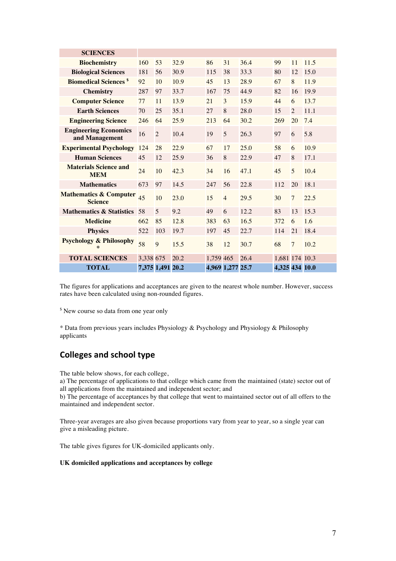| <b>SCIENCES</b>                                     |                  |                |      |           |                  |      |                |                |      |
|-----------------------------------------------------|------------------|----------------|------|-----------|------------------|------|----------------|----------------|------|
| <b>Biochemistry</b>                                 | 160              | 53             | 32.9 | 86        | 31               | 36.4 | 99             | 11             | 11.5 |
| <b>Biological Sciences</b>                          | 181              | 56             | 30.9 | 115       | 38               | 33.3 | 80             | 12             | 15.0 |
| <b>Biomedical Sciences</b> <sup>\$</sup>            | 92               | 10             | 10.9 | 45        | 13               | 28.9 | 67             | 8              | 11.9 |
| <b>Chemistry</b>                                    | 287              | 97             | 33.7 | 167       | 75               | 44.9 | 82             | 16             | 19.9 |
| <b>Computer Science</b>                             | 77               | 11             | 13.9 | 21        | 3                | 15.9 | 44             | 6              | 13.7 |
| <b>Earth Sciences</b>                               | 70               | 25             | 35.1 | 27        | 8                | 28.0 | 15             | $\overline{2}$ | 11.1 |
| <b>Engineering Science</b>                          | 246              | 64             | 25.9 | 213       | 64               | 30.2 | 269            | 20             | 7.4  |
| <b>Engineering Economics</b><br>and Management      | 16               | $\overline{2}$ | 10.4 | 19        | 5                | 26.3 | 97             | 6              | 5.8  |
| <b>Experimental Psychology</b>                      | 124              | 28             | 22.9 | 67        | 17               | 25.0 | 58             | 6              | 10.9 |
| <b>Human Sciences</b>                               | 45               | 12             | 25.9 | 36        | 8                | 22.9 | 47             | 8              | 17.1 |
| <b>Materials Science and</b><br><b>MEM</b>          | 24               | 10             | 42.3 | 34        | 16               | 47.1 | 45             | 5              | 10.4 |
| <b>Mathematics</b>                                  | 673              | 97             | 14.5 | 247       | 56               | 22.8 | 112            | 20             | 18.1 |
| <b>Mathematics &amp; Computer</b><br><b>Science</b> | 45               | 10             | 23.0 | 15        | $\overline{4}$   | 29.5 | 30             | $\overline{7}$ | 22.5 |
| <b>Mathematics &amp; Statistics</b>                 | 58               | 5              | 9.2  | 49        | 6                | 12.2 | 83             | 13             | 15.3 |
| <b>Medicine</b>                                     | 662              | 85             | 12.8 | 383       | 63               | 16.5 | 372            | 6              | 1.6  |
| <b>Physics</b>                                      | 522              | 103            | 19.7 | 197       | 45               | 22.7 | 114            | 21             | 18.4 |
| <b>Psychology &amp; Philosophy</b><br>$\ast$        | 58               | 9              | 15.5 | 38        | 12               | 30.7 | 68             | $\overline{7}$ | 10.2 |
| <b>TOTAL SCIENCES</b>                               | 3,338 675        |                | 20.2 | 1,759 465 |                  | 26.4 | 1,681 174 10.3 |                |      |
| <b>TOTAL</b>                                        | 7,375 1,491 20.2 |                |      |           | 4,969 1,277 25.7 |      | 4,325 434 10.0 |                |      |

The figures for applications and acceptances are given to the nearest whole number. However, success rates have been calculated using non-rounded figures.

<sup>\$</sup> New course so data from one year only

\* Data from previous years includes Physiology & Psychology and Physiology & Philosophy applicants

## **Colleges and school type**

The table below shows, for each college,

a) The percentage of applications to that college which came from the maintained (state) sector out of all applications from the maintained and independent sector; and

b) The percentage of acceptances by that college that went to maintained sector out of all offers to the maintained and independent sector.

Three-year averages are also given because proportions vary from year to year, so a single year can give a misleading picture.

The table gives figures for UK-domiciled applicants only.

#### **UK domiciled applications and acceptances by college**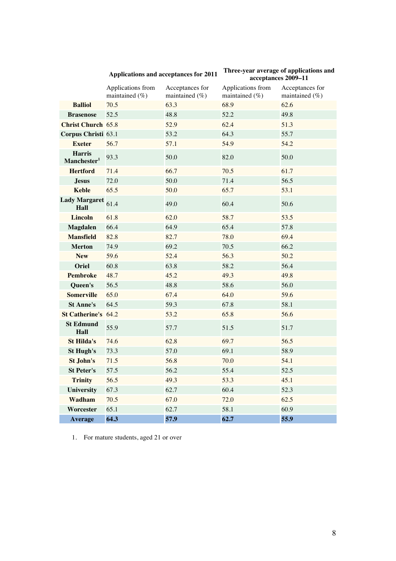# **Applications and acceptances for 2011 Three-year average of applications and acceptances 2009–11**

|                                          | Applications from<br>maintained (%) | Acceptances for<br>maintained (%) | Applications from<br>maintained (%) | Acceptances for<br>maintained (%) |
|------------------------------------------|-------------------------------------|-----------------------------------|-------------------------------------|-----------------------------------|
| <b>Balliol</b>                           | 70.5                                | 63.3                              | 68.9                                | 62.6                              |
| <b>Brasenose</b>                         | 52.5                                | 48.8                              | 52.2                                | 49.8                              |
| <b>Christ Church 65.8</b>                |                                     | 52.9                              | 62.4                                | 51.3                              |
| <b>Corpus Christi 63.1</b>               |                                     | 53.2                              | 64.3                                | 55.7                              |
| <b>Exeter</b>                            | 56.7                                | 57.1                              | 54.9                                | 54.2                              |
| <b>Harris</b><br>Manchester <sup>1</sup> | 93.3                                | 50.0                              | 82.0                                | 50.0                              |
| <b>Hertford</b>                          | 71.4                                | 66.7                              | 70.5                                | 61.7                              |
| <b>Jesus</b>                             | 72.0                                | 50.0                              | 71.4                                | 56.5                              |
| <b>Keble</b>                             | 65.5                                | 50.0                              | 65.7                                | 53.1                              |
| Lady Margaret 61.4<br>Hall               |                                     | 49.0                              | 60.4                                | 50.6                              |
| <b>Lincoln</b>                           | 61.8                                | 62.0                              | 58.7                                | 53.5                              |
| <b>Magdalen</b>                          | 66.4                                | 64.9                              | 65.4                                | 57.8                              |
| <b>Mansfield</b>                         | 82.8                                | 82.7                              | 78.0                                | 69.4                              |
| <b>Merton</b>                            | 74.9                                | 69.2                              | 70.5                                | 66.2                              |
| <b>New</b>                               | 59.6                                | 52.4                              | 56.3                                | 50.2                              |
| <b>Oriel</b>                             | 60.8                                | 63.8                              | 58.2                                | 56.4                              |
| <b>Pembroke</b>                          | 48.7                                | 45.2                              | 49.3                                | 49.8                              |
| Queen's                                  | 56.5                                | 48.8                              | 58.6                                | 56.0                              |
| <b>Somerville</b>                        | 65.0                                | 67.4                              | 64.0                                | 59.6                              |
| <b>St Anne's</b>                         | 64.5                                | 59.3                              | 67.8                                | 58.1                              |
| St Catherine's 64.2                      |                                     | 53.2                              | 65.8                                | 56.6                              |
| <b>St Edmund</b><br>Hall                 | 55.9                                | 57.7                              | 51.5                                | 51.7                              |
| <b>St Hilda's</b>                        | 74.6                                | 62.8                              | 69.7                                | 56.5                              |
| St Hugh's                                | 73.3                                | 57.0                              | 69.1                                | 58.9                              |
| St John's                                | 71.5                                | 56.8                              | 70.0                                | 54.1                              |
| <b>St Peter's</b>                        | 57.5                                | 56.2                              | 55.4                                | 52.5                              |
| <b>Trinity</b>                           | 56.5                                | 49.3                              | 53.3                                | 45.1                              |
| University                               | 67.3                                | 62.7                              | 60.4                                | 52.3                              |
| Wadham                                   | 70.5                                | 67.0                              | 72.0                                | 62.5                              |
| Worcester                                | 65.1                                | 62.7                              | 58.1                                | 60.9                              |
| Average                                  | 64.3                                | 57.9                              | 62.7                                | 55.9                              |

1. For mature students, aged 21 or over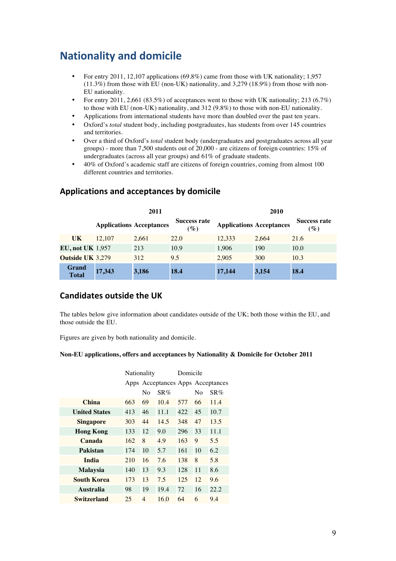## **Nationality and domicile**

- For entry 2011, 12,107 applications (69.8%) came from those with UK nationality; 1,957 (11.3%) from those with EU (non-UK) nationality, and 3,279 (18.9%) from those with non-EU nationality.
- For entry 2011, 2,661 (83.5%) of acceptances went to those with UK nationality; 213 (6.7%) to those with EU (non-UK) nationality, and 312 (9.8%) to those with non-EU nationality.
- Applications from international students have more than doubled over the past ten years.
- Oxford's *total* student body, including postgraduates, has students from over 145 countries and territories.
- Over a third of Oxford's *total* student body (undergraduates and postgraduates across all year groups) - more than 7,500 students out of 20,000 - are citizens of foreign countries: 15% of undergraduates (across all year groups) and 61% of graduate students.
- 40% of Oxford's academic staff are citizens of foreign countries, coming from almost 100 different countries and territories.

|                              |                                 | 2011  |                        | 2010                            |       |                                        |  |
|------------------------------|---------------------------------|-------|------------------------|---------------------------------|-------|----------------------------------------|--|
|                              | <b>Applications Acceptances</b> |       | Success rate<br>$(\%)$ | <b>Applications Acceptances</b> |       | <b>Success rate</b><br>$\mathscr{G}_o$ |  |
| UK                           | 12,107                          | 2,661 | 22.0                   | 12.333                          | 2.664 | 21.6                                   |  |
| EU, not UK $1.957$           |                                 | 213   | 10.9                   | 1.906                           | 190   | 10.0                                   |  |
| <b>Outside UK 3,279</b>      |                                 | 312   | 9.5                    | 2.905                           | 300   | 10.3                                   |  |
| <b>Grand</b><br><b>Total</b> | 17,343                          | 3,186 | 18.4                   | 17,144                          | 3,154 | 18.4                                   |  |

### **Applications!and!acceptances!by!domicile**

### **Candidates outside the UK**

The tables below give information about candidates outside of the UK; both those within the EU, and those outside the EU.

Figures are given by both nationality and domicile.

#### **Non-EU applications, offers and acceptances by Nationality & Domicile for October 2011**

|                      | Nationality |                |                                   | Domicile |    |        |
|----------------------|-------------|----------------|-----------------------------------|----------|----|--------|
|                      |             |                | Apps Acceptances Apps Acceptances |          |    |        |
|                      |             | No             | SR%                               |          | Nο | $SR\%$ |
| <b>China</b>         | 663         | 69             | 10.4                              | 577      | 66 | 11.4   |
| <b>United States</b> | 413         | 46             | 11.1                              | 422      | 45 | 10.7   |
| <b>Singapore</b>     | 303         | 44             | 14.5                              | 348      | 47 | 13.5   |
| <b>Hong Kong</b>     | 133         | 12             | 9.0                               | 296      | 33 | 11.1   |
| Canada               | 162         | 8              | 4.9                               | 163      | 9  | 5.5    |
| Pakistan             | 174         | 10             | 5.7                               | 161      | 10 | 6.2    |
| <b>India</b>         | 210         | 16             | 7.6                               | 138      | 8  | 5.8    |
| <b>Malaysia</b>      | 140         | 13             | 9.3                               | 128      | 11 | 8.6    |
| <b>South Korea</b>   | 173         | 13             | 7.5                               | 125      | 12 | 9.6    |
| <b>Australia</b>     | 98          | 19             | 19.4                              | 72       | 16 | 22.2   |
| Switzerland          | 25          | $\overline{4}$ | 16.0                              | 64       | 6  | 9.4    |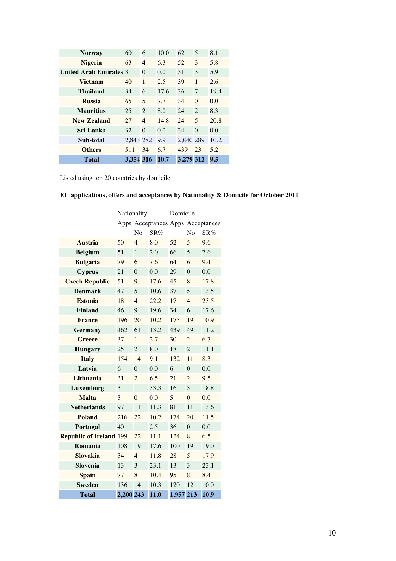| <b>Norway</b>                 | 60        | 6              | 10.0 | 62        | 5              | 8.1  |
|-------------------------------|-----------|----------------|------|-----------|----------------|------|
| <b>Nigeria</b>                | 63        | $\overline{4}$ | 6.3  | 52        | 3              | 5.8  |
| <b>United Arab Emirates 3</b> |           | $\Omega$       | 0.0  | 51        | 3              | 5.9  |
| <b>Vietnam</b>                | 40        | 1              | 2.5  | 39        | 1              | 2.6  |
| Thailand                      | 34        | 6              | 17.6 | 36        | 7              | 19.4 |
| <b>Russia</b>                 | 65        | 5              | 7.7  | 34        | $\Omega$       | 0.0  |
| <b>Mauritius</b>              | 25        | $\mathfrak{D}$ | 8.0  | 24        | $\mathcal{L}$  | 8.3  |
| <b>New Zealand</b>            | 27        | $\overline{4}$ | 14.8 | 24        | $\overline{5}$ | 20.8 |
| Sri Lanka                     | 32        | $\Omega$       | 0.0  | 24        | $\Omega$       | 0.0  |
| Sub-total                     | 2.843 282 |                | 9.9  | 2,840 289 |                | 10.2 |
| <b>Others</b>                 | 511       | 34             | 6.7  | 439       | 23             | 5.2  |
| <b>Total</b>                  | 3.354 316 |                | 10.7 | 3.279 312 |                | 9.5  |

Listed using top 20 countries by domicile

### **EU applications, offers and acceptances by Nationality & Domicile for October 2011**

|                                | Nationality |                |                                   | Domicile  |                |      |
|--------------------------------|-------------|----------------|-----------------------------------|-----------|----------------|------|
|                                |             |                | Apps Acceptances Apps Acceptances |           |                |      |
|                                |             | No             | SR%                               |           | N <sub>0</sub> | SR%  |
| <b>Austria</b>                 | 50          | $\overline{4}$ | 8.0                               | 52        | 5              | 9.6  |
| <b>Belgium</b>                 | 51          | $\mathbf{1}$   | 2.0                               | 66        | 5              | 7.6  |
| <b>Bulgaria</b>                | 79          | 6              | 7.6                               | 64        | 6              | 9.4  |
| <b>Cyprus</b>                  | 21          | $\theta$       | 0.0                               | 29        | $\overline{0}$ | 0.0  |
| <b>Czech Republic</b>          | 51          | 9              | 17.6                              | 45        | 8              | 17.8 |
| <b>Denmark</b>                 | 47          | 5              | 10.6                              | 37        | 5              | 13.5 |
| <b>Estonia</b>                 | 18          | $\overline{4}$ | 22.2                              | 17        | $\overline{4}$ | 23.5 |
| <b>Finland</b>                 | 46          | 9              | 19.6                              | 34        | 6              | 17.6 |
| <b>France</b>                  | 196         | 20             | 10.2                              | 175       | 19             | 10.9 |
| <b>Germany</b>                 | 462         | 61             | 13.2                              | 439       | 49             | 11.2 |
| <b>Greece</b>                  | 37          | $\mathbf{1}$   | 2.7                               | 30        | $\overline{2}$ | 6.7  |
| <b>Hungary</b>                 | 25          | $\overline{2}$ | 8.0                               | 18        | $\overline{2}$ | 11.1 |
| <b>Italy</b>                   | 154         | 14             | 9.1                               | 132       | 11             | 8.3  |
| Latvia                         | 6           | $\theta$       | 0.0                               | 6         | $\overline{0}$ | 0.0  |
| Lithuania                      | 31          | $\overline{2}$ | 6.5                               | 21        | $\overline{2}$ | 9.5  |
| Luxemborg                      | 3           | $\mathbf{1}$   | 33.3                              | 16        | 3              | 18.8 |
| <b>Malta</b>                   | 3           | $\overline{0}$ | 0.0                               | 5         | $\overline{0}$ | 0.0  |
| <b>Netherlands</b>             | 97          | 11             | 11.3                              | 81        | 11             | 13.6 |
| <b>Poland</b>                  | 216         | 22             | 10.2                              | 174       | 20             | 11.5 |
| Portugal                       | 40          | $\mathbf{1}$   | 2.5                               | 36        | $\overline{0}$ | 0.0  |
| <b>Republic of Ireland 199</b> |             | 22             | 11.1                              | 124       | 8              | 6.5  |
| Romania                        | 108         | 19             | 17.6                              | 100       | 19             | 19.0 |
| <b>Slovakia</b>                | 34          | $\overline{4}$ | 11.8                              | 28        | 5              | 17.9 |
| Slovenia                       | 13          | 3              | 23.1                              | 13        | 3              | 23.1 |
| <b>Spain</b>                   | 77          | 8              | 10.4                              | 95        | 8              | 8.4  |
| <b>Sweden</b>                  | 136         | 14             | 10.3                              | 120       | 12             | 10.0 |
| <b>Total</b>                   | 2,200 243   |                | 11.0                              | 1,957 213 |                | 10.9 |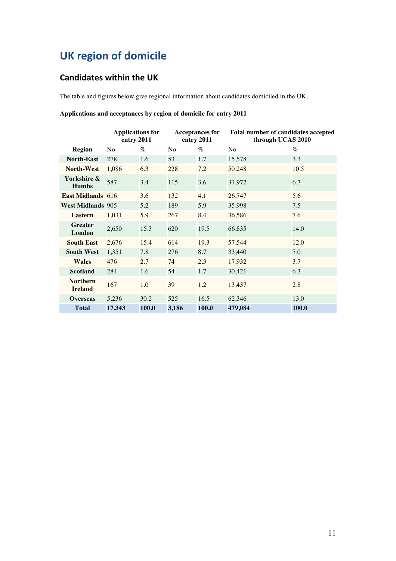## **UK region of domicile**

## **Candidates within the UK**

The table and figures below give regional information about candidates domiciled in the UK.

#### **Applications and acceptances by region of domicile for entry 2011**

|                                   | <b>Applications for</b><br>entry 2011 |       | entry 2011     |       | Total number of candidates accepted<br><b>Acceptances for</b><br>through UCAS 2010 |       |
|-----------------------------------|---------------------------------------|-------|----------------|-------|------------------------------------------------------------------------------------|-------|
| <b>Region</b>                     | N <sub>o</sub>                        | $\%$  | N <sub>o</sub> | $\%$  | N <sub>o</sub>                                                                     | $\%$  |
| <b>North-East</b>                 | 278                                   | 1.6   | 53             | 1.7   | 15,578                                                                             | 3.3   |
| <b>North-West</b>                 | 1,086                                 | 6.3   | 228            | 7.2   | 50,248                                                                             | 10.5  |
| Yorkshire &<br><b>Humbs</b>       | 587                                   | 3.4   | 115            | 3.6   | 31,972                                                                             | 6.7   |
| <b>East Midlands</b> 616          |                                       | 3.6   | 132            | 4.1   | 26,747                                                                             | 5.6   |
| <b>West Midlands 905</b>          |                                       | 5.2   | 189            | 5.9   | 35,998                                                                             | 7.5   |
| <b>Eastern</b>                    | 1,031                                 | 5.9   | 267            | 8.4   | 36,586                                                                             | 7.6   |
| <b>Greater</b><br>London          | 2,650                                 | 15.3  | 620            | 19.5  | 66,835                                                                             | 14.0  |
| <b>South East</b>                 | 2,676                                 | 15.4  | 614            | 19.3  | 57,544                                                                             | 12.0  |
| <b>South West</b>                 | 1,351                                 | 7.8   | 276            | 8.7   | 33,440                                                                             | 7.0   |
| <b>Wales</b>                      | 476                                   | 2.7   | 74             | 2.3   | 17,932                                                                             | 3.7   |
| <b>Scotland</b>                   | 284                                   | 1.6   | 54             | 1.7   | 30,421                                                                             | 6.3   |
| <b>Northern</b><br><b>Ireland</b> | 167                                   | 1.0   | 39             | 1.2   | 13,437                                                                             | 2.8   |
| <b>Overseas</b>                   | 5,236                                 | 30.2  | 525            | 16.5  | 62,346                                                                             | 13.0  |
| <b>Total</b>                      | 17,343                                | 100.0 | 3,186          | 100.0 | 479,084                                                                            | 100.0 |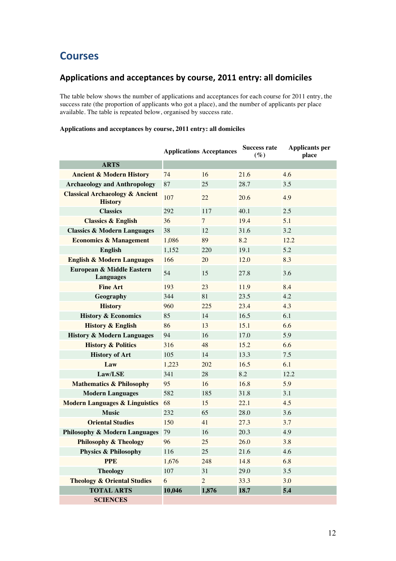## **Courses**

## Applications and acceptances by course, 2011 entry: all domiciles

The table below shows the number of applications and acceptances for each course for 2011 entry, the success rate (the proportion of applicants who got a place), and the number of applicants per place available. The table is repeated below, organised by success rate.

#### **Applications and acceptances by course, 2011 entry: all domiciles**

|                                                              | <b>Applications Acceptances</b> |                 | <b>Success rate</b><br>$(\%)$ | <b>Applicants per</b><br>place |
|--------------------------------------------------------------|---------------------------------|-----------------|-------------------------------|--------------------------------|
| <b>ARTS</b>                                                  |                                 |                 |                               |                                |
| <b>Ancient &amp; Modern History</b>                          | 74                              | 16              | 21.6                          | 4.6                            |
| <b>Archaeology and Anthropology</b>                          | 87                              | 25              | 28.7                          | 3.5                            |
| <b>Classical Archaeology &amp; Ancient</b><br><b>History</b> | 107                             | 22              | 20.6                          | 4.9                            |
| <b>Classics</b>                                              | 292                             | 117             | 40.1                          | 2.5                            |
| <b>Classics &amp; English</b>                                | 36                              | $7\overline{ }$ | 19.4                          | 5.1                            |
| <b>Classics &amp; Modern Languages</b>                       | 38                              | 12              | 31.6                          | 3.2                            |
| <b>Economics &amp; Management</b>                            | 1,086                           | 89              | 8.2                           | 12.2                           |
| <b>English</b>                                               | 1,152                           | 220             | 19.1                          | 5.2                            |
| <b>English &amp; Modern Languages</b>                        | 166                             | 20              | 12.0                          | 8.3                            |
| European & Middle Eastern<br><b>Languages</b>                | 54                              | 15              | 27.8                          | 3.6                            |
| <b>Fine Art</b>                                              | 193                             | 23              | 11.9                          | 8.4                            |
| Geography                                                    | 344                             | 81              | 23.5                          | 4.2                            |
| <b>History</b>                                               | 960                             | 225             | 23.4                          | 4.3                            |
| <b>History &amp; Economics</b>                               | 85                              | 14              | 16.5                          | 6.1                            |
| <b>History &amp; English</b>                                 | 86                              | 13              | 15.1                          | 6.6                            |
| <b>History &amp; Modern Languages</b>                        | 94                              | 16              | 17.0                          | 5.9                            |
| <b>History &amp; Politics</b>                                | 316                             | 48              | 15.2                          | 6.6                            |
| <b>History of Art</b>                                        | 105                             | 14              | 13.3                          | 7.5                            |
| Law                                                          | 1,223                           | 202             | 16.5                          | 6.1                            |
| Law/LSE                                                      | 341                             | 28              | 8.2                           | 12.2                           |
| <b>Mathematics &amp; Philosophy</b>                          | 95                              | 16              | 16.8                          | 5.9                            |
| <b>Modern Languages</b>                                      | 582                             | 185             | 31.8                          | 3.1                            |
| <b>Modern Languages &amp; Linguistics</b>                    | 68                              | 15              | 22.1                          | 4.5                            |
| <b>Music</b>                                                 | 232                             | 65              | 28.0                          | 3.6                            |
| <b>Oriental Studies</b>                                      | 150                             | 41              | 27.3                          | 3.7                            |
| <b>Philosophy &amp; Modern Languages</b>                     | 79                              | 16              | 20.3                          | 4.9                            |
| <b>Philosophy &amp; Theology</b>                             | 96                              | 25              | 26.0                          | 3.8                            |
| <b>Physics &amp; Philosophy</b>                              | 116                             | 25              | 21.6                          | 4.6                            |
| <b>PPE</b>                                                   | 1,676                           | 248             | 14.8                          | 6.8                            |
| <b>Theology</b>                                              | 107                             | 31              | 29.0                          | 3.5                            |
| <b>Theology &amp; Oriental Studies</b>                       | 6                               | $\overline{2}$  | 33.3                          | 3.0                            |
| <b>TOTAL ARTS</b>                                            | 10,046                          | 1,876           | 18.7                          | 5.4                            |
| <b>SCIENCES</b>                                              |                                 |                 |                               |                                |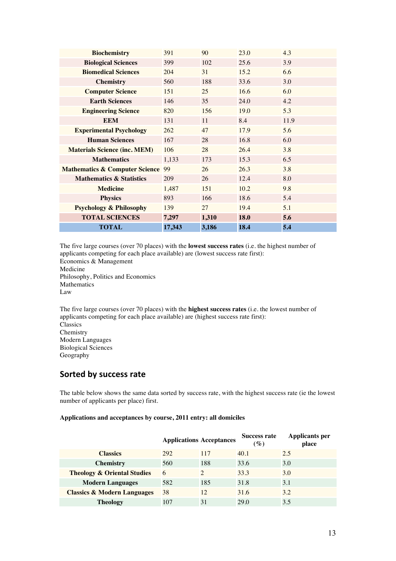| <b>Biochemistry</b>                       | 391    | 90    | 23.0 | 4.3  |
|-------------------------------------------|--------|-------|------|------|
| <b>Biological Sciences</b>                | 399    | 102   | 25.6 | 3.9  |
| <b>Biomedical Sciences</b>                | 204    | 31    | 15.2 | 6.6  |
| <b>Chemistry</b>                          | 560    | 188   | 33.6 | 3.0  |
| <b>Computer Science</b>                   | 151    | 25    | 16.6 | 6.0  |
| <b>Earth Sciences</b>                     | 146    | 35    | 24.0 | 4.2  |
| <b>Engineering Science</b>                | 820    | 156   | 19.0 | 5.3  |
| <b>EEM</b>                                | 131    | 11    | 8.4  | 11.9 |
| <b>Experimental Psychology</b>            | 262    | 47    | 17.9 | 5.6  |
| <b>Human Sciences</b>                     | 167    | 28    | 16.8 | 6.0  |
| <b>Materials Science (inc. MEM)</b>       | 106    | 28    | 26.4 | 3.8  |
| <b>Mathematics</b>                        | 1,133  | 173   | 15.3 | 6.5  |
| <b>Mathematics &amp; Computer Science</b> | 99     | 26    | 26.3 | 3.8  |
| <b>Mathematics &amp; Statistics</b>       | 209    | 26    | 12.4 | 8.0  |
| <b>Medicine</b>                           | 1,487  | 151   | 10.2 | 9.8  |
| <b>Physics</b>                            | 893    | 166   | 18.6 | 5.4  |
| <b>Psychology &amp; Philosophy</b>        | 139    | 27    | 19.4 | 5.1  |
| <b>TOTAL SCIENCES</b>                     | 7,297  | 1,310 | 18.0 | 5.6  |
| <b>TOTAL</b>                              | 17,343 | 3,186 | 18.4 | 5.4  |

The five large courses (over 70 places) with the **lowest success rates** (i.e. the highest number of applicants competing for each place available) are (lowest success rate first): Economics & Management Medicine Philosophy, Politics and Economics Mathematics Law

The five large courses (over 70 places) with the **highest success rates** (i.e. the lowest number of applicants competing for each place available) are (highest success rate first): Classics Chemistry Modern Languages Biological Sciences Geography

### **Sorted by success rate**

The table below shows the same data sorted by success rate, with the highest success rate (ie the lowest number of applicants per place) first.

#### **Applications and acceptances by course, 2011 entry: all domiciles**

|                                        |     | <b>Applications Acceptances</b> | <b>Success rate</b><br>$\left( \mathscr{G}_{o}\right)$ | <b>Applicants per</b><br>place |
|----------------------------------------|-----|---------------------------------|--------------------------------------------------------|--------------------------------|
| <b>Classics</b>                        | 292 | 117                             | 40.1                                                   | 2.5                            |
| <b>Chemistry</b>                       | 560 | 188                             | 33.6                                                   | 3.0                            |
| <b>Theology &amp; Oriental Studies</b> | 6   | $\mathcal{D}$                   | 33.3                                                   | 3.0                            |
| <b>Modern Languages</b>                | 582 | 185                             | 31.8                                                   | 3.1                            |
| <b>Classics &amp; Modern Languages</b> | 38  | 12                              | 31.6                                                   | 3.2                            |
| <b>Theology</b>                        | 107 | 31                              | 29.0                                                   | 3.5                            |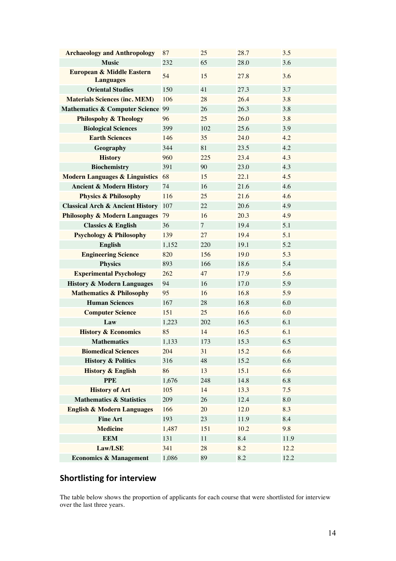| <b>Archaeology and Anthropology</b>           | 87    | 25             | 28.7 | 3.5  |
|-----------------------------------------------|-------|----------------|------|------|
| <b>Music</b>                                  | 232   | 65             | 28.0 | 3.6  |
| European & Middle Eastern<br><b>Languages</b> | 54    | 15             | 27.8 | 3.6  |
| <b>Oriental Studies</b>                       | 150   | 41             | 27.3 | 3.7  |
| <b>Materials Sciences (inc. MEM)</b>          | 106   | 28             | 26.4 | 3.8  |
| <b>Mathematics &amp; Computer Science 99</b>  |       | 26             | 26.3 | 3.8  |
| <b>Philospohy &amp; Theology</b>              | 96    | 25             | 26.0 | 3.8  |
| <b>Biological Sciences</b>                    | 399   | 102            | 25.6 | 3.9  |
| <b>Earth Sciences</b>                         | 146   | 35             | 24.0 | 4.2  |
| Geography                                     | 344   | 81             | 23.5 | 4.2  |
| <b>History</b>                                | 960   | 225            | 23.4 | 4.3  |
| <b>Biochemistry</b>                           | 391   | 90             | 23.0 | 4.3  |
| <b>Modern Languages &amp; Linguistics</b>     | 68    | 15             | 22.1 | 4.5  |
| <b>Ancient &amp; Modern History</b>           | 74    | 16             | 21.6 | 4.6  |
| <b>Physics &amp; Philosophy</b>               | 116   | 25             | 21.6 | 4.6  |
| <b>Classical Arch &amp; Ancient History</b>   | 107   | 22             | 20.6 | 4.9  |
| <b>Philosophy &amp; Modern Languages</b>      | 79    | 16             | 20.3 | 4.9  |
| <b>Classics &amp; English</b>                 | 36    | $\overline{7}$ | 19.4 | 5.1  |
| <b>Psychology &amp; Philosophy</b>            | 139   | 27             | 19.4 | 5.1  |
| <b>English</b>                                | 1,152 | 220            | 19.1 | 5.2  |
| <b>Engineering Science</b>                    | 820   | 156            | 19.0 | 5.3  |
| <b>Physics</b>                                | 893   | 166            | 18.6 | 5.4  |
| <b>Experimental Psychology</b>                | 262   | 47             | 17.9 | 5.6  |
| <b>History &amp; Modern Languages</b>         | 94    | 16             | 17.0 | 5.9  |
| <b>Mathematics &amp; Philosophy</b>           | 95    | 16             | 16.8 | 5.9  |
| <b>Human Sciences</b>                         | 167   | 28             | 16.8 | 6.0  |
| <b>Computer Science</b>                       | 151   | 25             | 16.6 | 6.0  |
| Law                                           | 1,223 | 202            | 16.5 | 6.1  |
| <b>History &amp; Economics</b>                | 85    | 14             | 16.5 | 6.1  |
| <b>Mathematics</b>                            | 1,133 | 173            | 15.3 | 6.5  |
| <b>Biomedical Sciences</b>                    | 204   | 31             | 15.2 | 6.6  |
| <b>History &amp; Politics</b>                 | 316   | 48             | 15.2 | 6.6  |
| <b>History &amp; English</b>                  | 86    | 13             | 15.1 | 6.6  |
| <b>PPE</b>                                    | 1,676 | 248            | 14.8 | 6.8  |
| <b>History of Art</b>                         | 105   | 14             | 13.3 | 7.5  |
| <b>Mathematics &amp; Statistics</b>           | 209   | 26             | 12.4 | 8.0  |
| <b>English &amp; Modern Languages</b>         | 166   | 20             | 12.0 | 8.3  |
| <b>Fine Art</b>                               | 193   | 23             | 11.9 | 8.4  |
| <b>Medicine</b>                               | 1,487 | 151            | 10.2 | 9.8  |
| <b>EEM</b>                                    | 131   | 11             | 8.4  | 11.9 |
| Law/LSE                                       | 341   | 28             | 8.2  | 12.2 |
| <b>Economics &amp; Management</b>             | 1,086 | 89             | 8.2  | 12.2 |

## **Shortlisting for interview**

The table below shows the proportion of applicants for each course that were shortlisted for interview over the last three years.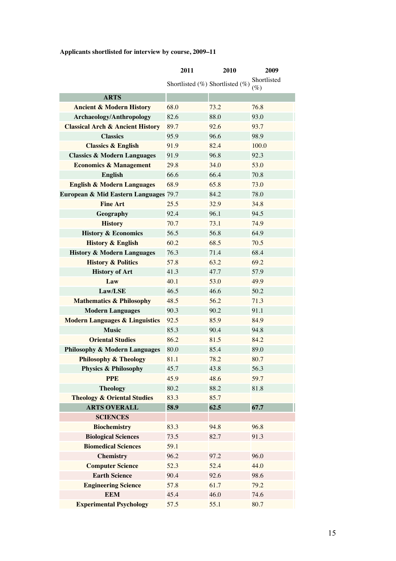## **Applicants shortlisted for interview by course, 2009–11**

|                                             | 2011                                  | 2010 | 2009                  |
|---------------------------------------------|---------------------------------------|------|-----------------------|
|                                             | Shortlisted $(\%)$ Shortlisted $(\%)$ |      | Shortlisted<br>$(\%)$ |
| <b>ARTS</b>                                 |                                       |      |                       |
| <b>Ancient &amp; Modern History</b>         | 68.0                                  | 73.2 | 76.8                  |
| <b>Archaeology/Anthropology</b>             | 82.6                                  | 88.0 | 93.0                  |
| <b>Classical Arch &amp; Ancient History</b> | 89.7                                  | 92.6 | 93.7                  |
| <b>Classics</b>                             | 95.9                                  | 96.6 | 98.9                  |
| <b>Classics &amp; English</b>               | 91.9                                  | 82.4 | 100.0                 |
| <b>Classics &amp; Modern Languages</b>      | 91.9                                  | 96.8 | 92.3                  |
| <b>Economics &amp; Management</b>           | 29.8                                  | 34.0 | 53.0                  |
| <b>English</b>                              | 66.6                                  | 66.4 | 70.8                  |
| <b>English &amp; Modern Languages</b>       | 68.9                                  | 65.8 | 73.0                  |
| European & Mid Eastern Languages 79.7       |                                       | 84.2 | 78.0                  |
| <b>Fine Art</b>                             | 25.5                                  | 32.9 | 34.8                  |
| Geography                                   | 92.4                                  | 96.1 | 94.5                  |
| <b>History</b>                              | 70.7                                  | 73.1 | 74.9                  |
| <b>History &amp; Economics</b>              | 56.5                                  | 56.8 | 64.9                  |
| <b>History &amp; English</b>                | 60.2                                  | 68.5 | 70.5                  |
| <b>History &amp; Modern Languages</b>       | 76.3                                  | 71.4 | 68.4                  |
| <b>History &amp; Politics</b>               | 57.8                                  | 63.2 | 69.2                  |
| <b>History of Art</b>                       | 41.3                                  | 47.7 | 57.9                  |
| Law                                         | 40.1                                  | 53.0 | 49.9                  |
| Law/LSE                                     | 46.5                                  | 46.6 | 50.2                  |
| <b>Mathematics &amp; Philosophy</b>         | 48.5                                  | 56.2 | 71.3                  |
| <b>Modern Languages</b>                     | 90.3                                  | 90.2 | 91.1                  |
| <b>Modern Languages &amp; Linguistics</b>   | 92.5                                  | 85.9 | 84.9                  |
| <b>Music</b>                                | 85.3                                  | 90.4 | 94.8                  |
| <b>Oriental Studies</b>                     | 86.2                                  | 81.5 | 84.2                  |
| <b>Philosophy &amp; Modern Languages</b>    | 80.0                                  | 85.4 | 89.0                  |
| <b>Philosophy &amp; Theology</b>            | 81.1                                  | 78.2 | 80.7                  |
| <b>Physics &amp; Philosophy</b>             | 45.7                                  | 43.8 | 56.3                  |
| <b>PPE</b>                                  | 45.9                                  | 48.6 | 59.7                  |
| <b>Theology</b>                             | 80.2                                  | 88.2 | 81.8                  |
| <b>Theology &amp; Oriental Studies</b>      | 83.3                                  | 85.7 |                       |
| <b>ARTS OVERALL</b>                         | 58.9                                  | 62.5 | 67.7                  |
| <b>SCIENCES</b>                             |                                       |      |                       |
| <b>Biochemistry</b>                         | 83.3                                  | 94.8 | 96.8                  |
| <b>Biological Sciences</b>                  | 73.5                                  | 82.7 | 91.3                  |
| <b>Biomedical Sciences</b>                  | 59.1                                  |      |                       |
| <b>Chemistry</b>                            | 96.2                                  | 97.2 | 96.0                  |
| <b>Computer Science</b>                     | 52.3                                  | 52.4 | 44.0                  |
| <b>Earth Science</b>                        | 90.4                                  | 92.6 | 98.6                  |
| <b>Engineering Science</b>                  | 57.8                                  | 61.7 | 79.2                  |
| <b>EEM</b>                                  | 45.4                                  | 46.0 | 74.6                  |
| <b>Experimental Psychology</b>              | 57.5                                  | 55.1 | 80.7                  |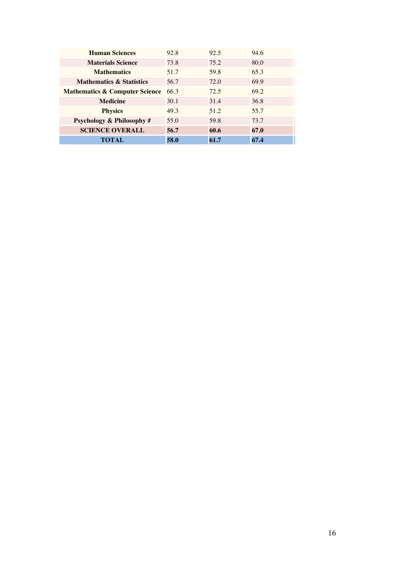| <b>Human Sciences</b>                     | 92.8 | 92.5 | 94.6 |
|-------------------------------------------|------|------|------|
| <b>Materials Science</b>                  | 73.8 | 75.2 | 80.0 |
| <b>Mathematics</b>                        | 51.7 | 59.8 | 65.3 |
| <b>Mathematics &amp; Statistics</b>       | 56.7 | 72.0 | 69.9 |
| <b>Mathematics &amp; Computer Science</b> | 66.3 | 72.5 | 69.2 |
| <b>Medicine</b>                           | 30.1 | 31.4 | 36.8 |
| <b>Physics</b>                            | 49.3 | 51.2 | 55.7 |
| <b>Psychology &amp; Philosophy#</b>       | 55.0 | 59.8 | 73.7 |
| <b>SCIENCE OVERALL</b>                    | 56.7 | 60.6 | 67.0 |
| TOTAL                                     | 58.0 | 61.7 | 67.4 |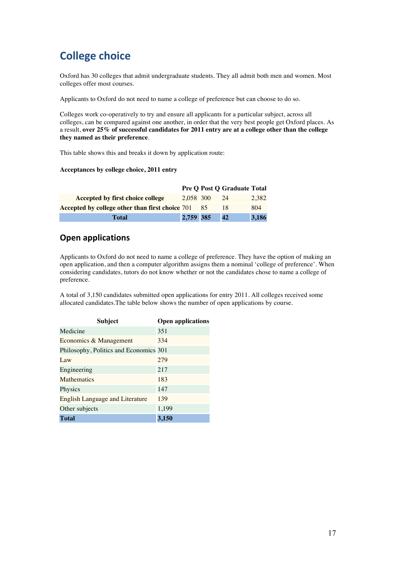## **College choice**

Oxford has 30 colleges that admit undergraduate students. They all admit both men and women. Most colleges offer most courses.

Applicants to Oxford do not need to name a college of preference but can choose to do so.

Colleges work co-operatively to try and ensure all applicants for a particular subject, across all colleges, can be compared against one another, in order that the very best people get Oxford places. As a result, **over 25% of successful candidates for 2011 entry are at a college other than the college they named as their preference**.

This table shows this and breaks it down by application route:

#### **Acceptances by college choice, 2011 entry**

|                                                    |           | <b>Pre O Post O Graduate Total</b> |       |
|----------------------------------------------------|-----------|------------------------------------|-------|
| Accepted by first choice college                   | 2.058 300 | 24                                 | 2.382 |
| Accepted by college other than first choice 701 85 |           | 18                                 | 804   |
| Total                                              | 2,759 385 | 42                                 | 3,186 |

### **Open applications**

Applicants to Oxford do not need to name a college of preference. They have the option of making an open application, and then a computer algorithm assigns them a nominal 'college of preference'. When considering candidates, tutors do not know whether or not the candidates chose to name a college of preference.

A total of 3,150 candidates submitted open applications for entry 2011. All colleges received some allocated candidates.The table below shows the number of open applications by course.

| <b>Subject</b>                         | <b>Open applications</b> |
|----------------------------------------|--------------------------|
| Medicine                               | 351                      |
| Economics & Management                 | 334                      |
| Philosophy, Politics and Economics 301 |                          |
| Law                                    | 279                      |
| Engineering                            | 217                      |
| <b>Mathematics</b>                     | 183                      |
| Physics                                | 147                      |
| <b>English Language and Literature</b> | 139                      |
| Other subjects                         | 1,199                    |
| <b>Total</b>                           | 3,150                    |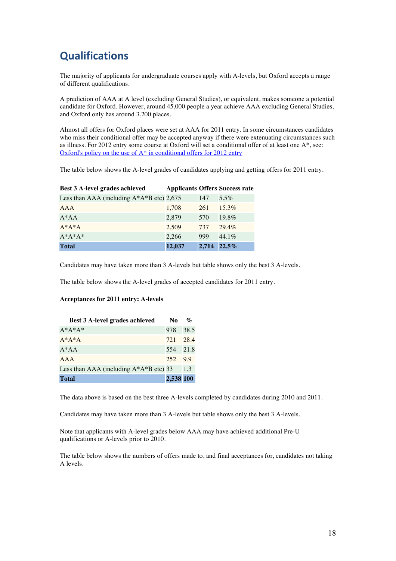## **Qualifications**

The majority of applicants for undergraduate courses apply with A-levels, but Oxford accepts a range of different qualifications.

A prediction of AAA at A level (excluding General Studies), or equivalent, makes someone a potential candidate for Oxford. However, around 45,000 people a year achieve AAA excluding General Studies, and Oxford only has around 3,200 places.

Almost all offers for Oxford places were set at AAA for 2011 entry. In some circumstances candidates who miss their conditional offer may be accepted anyway if there were extenuating circumstances such as illness. For 2012 entry some course at Oxford will set a conditional offer of at least one A\*, see: Oxford's policy on the use of  $A^*$  in conditional offers for 2012 entry

The table below shows the A-level grades of candidates applying and getting offers for 2011 entry.

| Best 3 A-level grades achieved                |        |       | <b>Applicants Offers Success rate</b> |
|-----------------------------------------------|--------|-------|---------------------------------------|
| Less than AAA (including $A^*A^*B$ etc) 2,675 |        | 147   | $5.5\%$                               |
| <b>AAA</b>                                    | 1,708  | 261   | $15.3\%$                              |
| $A^*AA$                                       | 2,879  | 570   | $19.8\%$                              |
| $A^*A^*A$                                     | 2.509  | 737   | $29.4\%$                              |
| $A^*A^*A^*$                                   | 2,266  | 999   | $44.1\%$                              |
| <b>Total</b>                                  | 12,037 | 2,714 | $22.5\%$                              |

Candidates may have taken more than 3 A-levels but table shows only the best 3 A-levels.

The table below shows the A-level grades of accepted candidates for 2011 entry.

#### **Acceptances for 2011 entry: A-levels**

| <b>Best 3 A-level grades achieved</b>      | N <sub>0</sub> | $\mathcal{O}'_0$ |
|--------------------------------------------|----------------|------------------|
| $A*A*A*$                                   | 978            | 38.5             |
| $A^*A^*A$                                  | 721            | 28.4             |
| $A^*AA$                                    | 554 21.8       |                  |
| AAA                                        | 252 9.9        |                  |
| Less than AAA (including $A^*A^*B$ etc) 33 |                | 1.3              |
| <b>Total</b>                               | 2,538 100      |                  |

The data above is based on the best three A-levels completed by candidates during 2010 and 2011.

Candidates may have taken more than 3 A-levels but table shows only the best 3 A-levels.

Note that applicants with A-level grades below AAA may have achieved additional Pre-U qualifications or A-levels prior to 2010.

The table below shows the numbers of offers made to, and final acceptances for, candidates not taking A levels.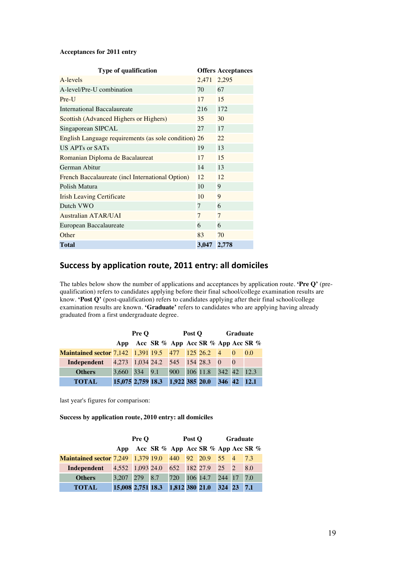#### **Acceptances for 2011 entry**

| Type of qualification                                |       | <b>Offers Acceptances</b> |
|------------------------------------------------------|-------|---------------------------|
| A-levels                                             | 2,471 | 2,295                     |
| A-level/Pre-U combination                            | 70    | 67                        |
| Pre-U                                                | 17    | 15                        |
| International Baccalaureate                          | 216   | 172                       |
| Scottish (Advanced Highers or Highers)               | 35    | 30                        |
| Singaporean SIPCAL                                   | 27    | 17                        |
| English Language requirements (as sole condition) 26 |       | 22                        |
| US APTs or SATs                                      | 19    | 13                        |
| Romanian Diploma de Bacalaureat                      | 17    | 15                        |
| German Abitur                                        | 14    | 13                        |
| French Baccalaureate (incl International Option)     | 12    | 12                        |
| Polish Matura                                        | 10    | 9                         |
| <b>Irish Leaving Certificate</b>                     | 10    | 9                         |
| Dutch VWO                                            | 7     | 6                         |
| <b>Australian ATAR/UAI</b>                           | 7     | 7                         |
| European Baccalaureate                               | 6     | 6                         |
| Other                                                | 83    | 70                        |
| <b>Total</b>                                         | 3,047 | 2,778                     |

## Success by application route, 2011 entry: all domiciles

The tables below show the number of applications and acceptances by application route. **'Pre Q'** (prequalification) refers to candidates applying before their final school/college examination results are know. **'Post Q'** (post-qualification) refers to candidates applying after their final school/college examination results are known. **'Graduate'** refers to candidates who are applying having already graduated from a first undergraduate degree.

|                                                                |                                  | <b>Pre O</b> |                                             | Post O |                          | <b>Graduate</b> |  |      |  |
|----------------------------------------------------------------|----------------------------------|--------------|---------------------------------------------|--------|--------------------------|-----------------|--|------|--|
|                                                                | App                              |              | Acc SR $\%$ App Acc SR $\%$ App Acc SR $\%$ |        |                          |                 |  |      |  |
| <b>Maintained sector 7,142 1,391 19.5 477 125 26.2 4 0 0.0</b> |                                  |              |                                             |        |                          |                 |  |      |  |
| Independent                                                    | 4,273 1,034 24.2 545 154 28.3 0  |              |                                             |        |                          |                 |  |      |  |
| <b>Others</b>                                                  | 3,660 334 9.1                    |              |                                             |        | 900 106 11.8 342 42 12.3 |                 |  |      |  |
| <b>TOTAL</b>                                                   | 15,075 2,759 18.3 1,922 385 20.0 |              |                                             |        |                          | 346 42          |  | 12.1 |  |

last year's figures for comparison:

**Success by application route, 2010 entry: all domiciles**

|                                                                |                                    | <b>Pre O</b> |                                                 | Post O | Graduate   |  |     |  |
|----------------------------------------------------------------|------------------------------------|--------------|-------------------------------------------------|--------|------------|--|-----|--|
|                                                                |                                    |              | App Acc SR $\%$ App Acc SR $\%$ App Acc SR $\%$ |        |            |  |     |  |
| <b>Maintained sector 7,249 1,379 19.0 440 92 20.9 55 4 7.3</b> |                                    |              |                                                 |        |            |  |     |  |
| Independent                                                    | 4,552 1,093 24.0 652 182 27.9 25 2 |              |                                                 |        |            |  | 8.0 |  |
| <b>Others</b>                                                  | 3,207 279 8.7 720 106 14.7         |              |                                                 |        | 244 17 7.0 |  |     |  |
| <b>TOTAL</b>                                                   | 15,008 2,751 18.3 1,812 380 21.0   |              |                                                 |        | 324 23     |  | 7.1 |  |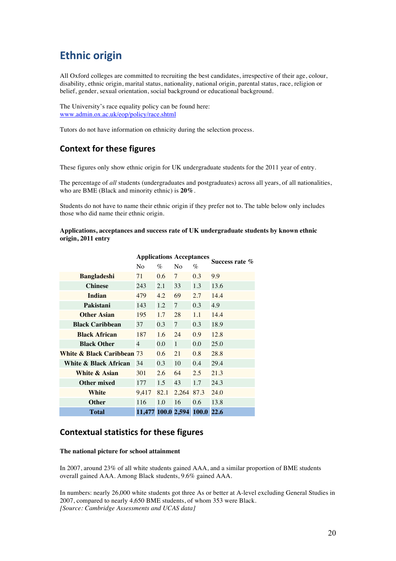## **Ethnic origin**

All Oxford colleges are committed to recruiting the best candidates, irrespective of their age, colour, disability, ethnic origin, marital status, nationality, national origin, parental status, race, religion or belief, gender, sexual orientation, social background or educational background.

The University's race equality policy can be found here: www.admin.ox.ac.uk/eop/policy/race.shtml

Tutors do not have information on ethnicity during the selection process.

## **Context for these figures**

These figures only show ethnic origin for UK undergraduate students for the 2011 year of entry.

The percentage of *all* students (undergraduates and postgraduates) across all years, of all nationalities, who are BME (Black and minority ethnic) is **20%**.

Students do not have to name their ethnic origin if they prefer not to. The table below only includes those who did name their ethnic origin.

**Applications, acceptances and success rate of UK undergraduate students by known ethnic origin, 2011 entry**

|                                       | <b>Applications Acceptances</b> |         |                | Success rate % |      |
|---------------------------------------|---------------------------------|---------|----------------|----------------|------|
|                                       | N <sub>0</sub>                  | $\%$    | No             | $\%$           |      |
| <b>Bangladeshi</b>                    | 71                              | 0.6     | $\overline{7}$ | 0.3            | 9.9  |
| <b>Chinese</b>                        | 243                             | 2.1     | 33             | 1.3            | 13.6 |
| <b>Indian</b>                         | 479                             | 4.2     | 69             | 2.7            | 14.4 |
| Pakistani                             | 143                             | 1.2     | $\tau$         | 0.3            | 4.9  |
| <b>Other Asian</b>                    | 195                             | 1.7     | 28             | 1.1            | 14.4 |
| <b>Black Caribbean</b>                | 37                              | 0.3     | $\tau$         | 0.3            | 18.9 |
| <b>Black African</b>                  | 187                             | 1.6     | 24             | 0.9            | 12.8 |
| <b>Black Other</b>                    | $\overline{4}$                  | $0.0\,$ | $\mathbf{1}$   | 0.0            | 25.0 |
| <b>White &amp; Black Caribbean 73</b> |                                 | 0.6     | 21             | 0.8            | 28.8 |
| White & Black African                 | 34                              | 0.3     | 10             | 0.4            | 29.4 |
| White & Asian                         | 301                             | 2.6     | 64             | 2.5            | 21.3 |
| Other mixed                           | 177                             | 1.5     | 43             | 1.7            | 24.3 |
| White                                 | 9,417                           | 82.1    | 2,264 87.3     |                | 24.0 |
| <b>Other</b>                          | 116                             | 1.0     | 16             | 0.6            | 13.8 |
| <b>Total</b>                          | 11,477 100.0 2,594 100.0        |         |                |                | 22.6 |

### **Contextual statistics for these figures**

#### **The national picture for school attainment**

In 2007, around 23% of all white students gained AAA, and a similar proportion of BME students overall gained AAA. Among Black students, 9.6% gained AAA.

In numbers: nearly 26,000 white students got three As or better at A-level excluding General Studies in 2007, compared to nearly 4,650 BME students, of whom 353 were Black. *[Source: Cambridge Assessments and UCAS data]*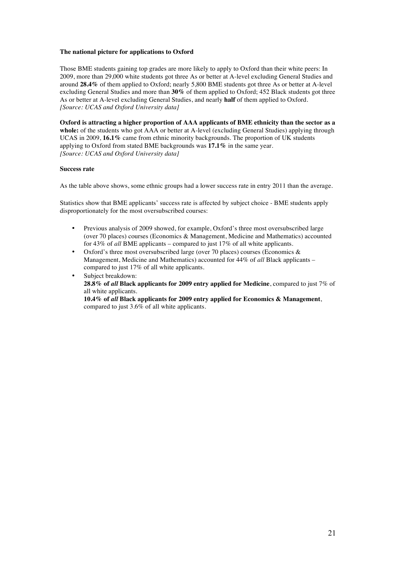#### **The national picture for applications to Oxford**

Those BME students gaining top grades are more likely to apply to Oxford than their white peers: In 2009, more than 29,000 white students got three As or better at A-level excluding General Studies and around **28.4%** of them applied to Oxford; nearly 5,800 BME students got three As or better at A-level excluding General Studies and more than **30%** of them applied to Oxford; 452 Black students got three As or better at A-level excluding General Studies, and nearly **half** of them applied to Oxford. *[Source: UCAS and Oxford University data]*

**Oxford is attracting a higher proportion of AAA applicants of BME ethnicity than the sector as a**  whole: of the students who got AAA or better at A-level (excluding General Studies) applying through UCAS in 2009, **16.1%** came from ethnic minority backgrounds. The proportion of UK students applying to Oxford from stated BME backgrounds was **17.1%** in the same year. *[Source: UCAS and Oxford University data]*

#### **Success rate**

As the table above shows, some ethnic groups had a lower success rate in entry 2011 than the average.

Statistics show that BME applicants' success rate is affected by subject choice - BME students apply disproportionately for the most oversubscribed courses:

- Previous analysis of 2009 showed, for example, Oxford's three most oversubscribed large (over 70 places) courses (Economics & Management, Medicine and Mathematics) accounted for 43% of *all* BME applicants – compared to just 17% of all white applicants.
- Oxford's three most oversubscribed large (over 70 places) courses (Economics  $\&$ Management, Medicine and Mathematics) accounted for 44% of *all* Black applicants – compared to just 17% of all white applicants.
- Subject breakdown: **28.8% of** *all* **Black applicants for 2009 entry applied for Medicine**, compared to just 7% of all white applicants.

**10.4% of** *all* **Black applicants for 2009 entry applied for Economics & Management**, compared to just 3.6% of all white applicants.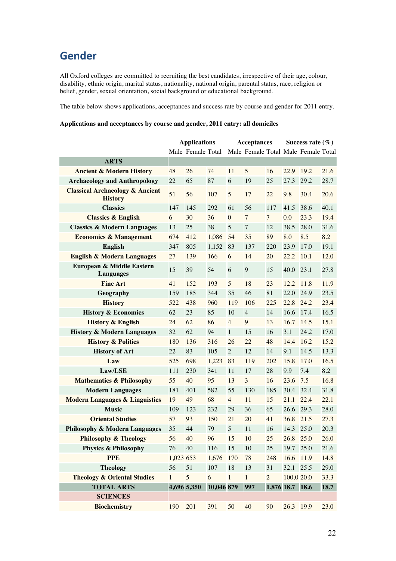## **Gender**

All Oxford colleges are committed to recruiting the best candidates, irrespective of their age, colour, disability, ethnic origin, marital status, nationality, national origin, parental status, race, religion or belief, gender, sexual orientation, social background or educational background.

The table below shows applications, acceptances and success rate by course and gender for 2011 entry.

#### **Applications and acceptances by course and gender, 2011 entry: all domiciles**

|                                                              |              | <b>Applications</b> |            |                | <b>Acceptances</b>                  |                | Success rate $(\% )$ |      |      |
|--------------------------------------------------------------|--------------|---------------------|------------|----------------|-------------------------------------|----------------|----------------------|------|------|
|                                                              |              | Male Female Total   |            |                | Male Female Total Male Female Total |                |                      |      |      |
| <b>ARTS</b>                                                  |              |                     |            |                |                                     |                |                      |      |      |
| <b>Ancient &amp; Modern History</b>                          | 48           | 26                  | 74         | 11             | 5                                   | 16             | 22.9                 | 19.2 | 21.6 |
| <b>Archaeology and Anthropology</b>                          | 22           | 65                  | 87         | 6              | 19                                  | 25             | 27.3                 | 29.2 | 28.7 |
| <b>Classical Archaeology &amp; Ancient</b><br><b>History</b> | 51           | 56                  | 107        | 5              | 17                                  | 22             | 9.8                  | 30.4 | 20.6 |
| <b>Classics</b>                                              | 147          | 145                 | 292        | 61             | 56                                  | 117            | 41.5                 | 38.6 | 40.1 |
| <b>Classics &amp; English</b>                                | 6            | 30                  | 36         | $\overline{0}$ | $\overline{7}$                      | $\overline{7}$ | 0.0                  | 23.3 | 19.4 |
| <b>Classics &amp; Modern Languages</b>                       | 13           | 25                  | 38         | 5              | $\overline{7}$                      | 12             | 38.5                 | 28.0 | 31.6 |
| <b>Economics &amp; Management</b>                            | 674          | 412                 | 1,086      | 54             | 35                                  | 89             | 8.0                  | 8.5  | 8.2  |
| <b>English</b>                                               | 347          | 805                 | 1,152      | 83             | 137                                 | 220            | 23.9                 | 17.0 | 19.1 |
| <b>English &amp; Modern Languages</b>                        | 27           | 139                 | 166        | 6              | 14                                  | 20             | 22.2                 | 10.1 | 12.0 |
| European & Middle Eastern<br><b>Languages</b>                | 15           | 39                  | 54         | 6              | 9                                   | 15             | 40.0                 | 23.1 | 27.8 |
| <b>Fine Art</b>                                              | 41           | 152                 | 193        | 5              | 18                                  | 23             | 12.2                 | 11.8 | 11.9 |
| Geography                                                    | 159          | 185                 | 344        | 35             | 46                                  | 81             | 22.0                 | 24.9 | 23.5 |
| <b>History</b>                                               | 522          | 438                 | 960        | 119            | 106                                 | 225            | 22.8                 | 24.2 | 23.4 |
| <b>History &amp; Economics</b>                               | 62           | 23                  | 85         | 10             | $\overline{4}$                      | 14             | 16.6                 | 17.4 | 16.5 |
| <b>History &amp; English</b>                                 | 24           | 62                  | 86         | $\overline{4}$ | 9                                   | 13             | 16.7                 | 14.5 | 15.1 |
| <b>History &amp; Modern Languages</b>                        | 32           | 62                  | 94         | $\mathbf{1}$   | 15                                  | 16             | 3.1                  | 24.2 | 17.0 |
| <b>History &amp; Politics</b>                                | 180          | 136                 | 316        | 26             | 22                                  | 48             | 14.4                 | 16.2 | 15.2 |
| <b>History of Art</b>                                        | 22           | 83                  | 105        | $\mathbf{2}$   | 12                                  | 14             | 9.1                  | 14.5 | 13.3 |
| Law                                                          | 525          | 698                 | 1,223      | 83             | 119                                 | 202            | 15.8                 | 17.0 | 16.5 |
| Law/LSE                                                      | 111          | 230                 | 341        | 11             | 17                                  | 28             | 9.9                  | 7.4  | 8.2  |
| <b>Mathematics &amp; Philosophy</b>                          | 55           | 40                  | 95         | 13             | 3                                   | 16             | 23.6                 | 7.5  | 16.8 |
| <b>Modern Languages</b>                                      | 181          | 401                 | 582        | 55             | 130                                 | 185            | 30.4                 | 32.4 | 31.8 |
| <b>Modern Languages &amp; Linguistics</b>                    | 19           | 49                  | 68         | $\overline{4}$ | 11                                  | 15             | 21.1                 | 22.4 | 22.1 |
| <b>Music</b>                                                 | 109          | 123                 | 232        | 29             | 36                                  | 65             | 26.6                 | 29.3 | 28.0 |
| <b>Oriental Studies</b>                                      | 57           | 93                  | 150        | 21             | 20                                  | 41             | 36.8                 | 21.5 | 27.3 |
| <b>Philosophy &amp; Modern Languages</b>                     | 35           | 44                  | 79         | 5              | 11                                  | 16             | 14.3                 | 25.0 | 20.3 |
| <b>Philosophy &amp; Theology</b>                             | 56           | 40                  | 96         | 15             | 10                                  | 25             | 26.8                 | 25.0 | 26.0 |
| <b>Physics &amp; Philosophy</b>                              | 76           | 40                  | 116        | 15             | 10                                  | 25             | 19.7                 | 25.0 | 21.6 |
| <b>PPE</b>                                                   | 1,023 653    |                     | 1,676      | 170            | 78                                  | 248            | 16.6                 | 11.9 | 14.8 |
| <b>Theology</b>                                              | 56           | 51                  | 107        | $18\,$         | 13                                  | 31             | 32.1                 | 25.5 | 29.0 |
| <b>Theology &amp; Oriental Studies</b>                       | $\mathbf{1}$ | 5                   | 6          | $\mathbf{1}$   | $\mathbf{1}$                        | $\overline{2}$ | 100.0 20.0           |      | 33.3 |
| <b>TOTAL ARTS</b>                                            |              | 4,696 5,350         | 10,046 879 |                | 997                                 |                | 1,876 18.7 18.6      |      | 18.7 |
| <b>SCIENCES</b>                                              |              |                     |            |                |                                     |                |                      |      |      |
| <b>Biochemistry</b>                                          | 190          | 201                 | 391        | 50             | 40                                  | 90             | 26.3                 | 19.9 | 23.0 |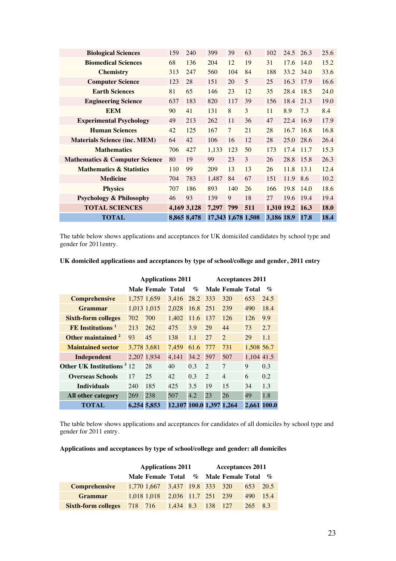| <b>Biological Sciences</b>                | 159 | 240         | 399                | 39             | 63  | 102        | 24.5 26.3 |                 | 25.6 |
|-------------------------------------------|-----|-------------|--------------------|----------------|-----|------------|-----------|-----------------|------|
| <b>Biomedical Sciences</b>                | 68  | 136         | 204                | 12             | 19  | 31         | 17.6      | 14.0            | 15.2 |
| <b>Chemistry</b>                          | 313 | 247         | 560                | 104            | 84  | 188        | 33.2      | 34.0            | 33.6 |
| <b>Computer Science</b>                   | 123 | 28          | 151                | 20             | 5   | 25         | 16.3      | 17.9            | 16.6 |
| <b>Earth Sciences</b>                     | 81  | 65          | 146                | 23             | 12  | 35         | 28.4      | 18.5            | 24.0 |
| <b>Engineering Science</b>                | 637 | 183         | 820                | 117            | 39  | 156        | 18.4      | 21.3            | 19.0 |
| <b>EEM</b>                                | 90  | 41          | 131                | 8              | 3   | 11         | 8.9       | 7.3             | 8.4  |
| <b>Experimental Psychology</b>            | 49  | 213         | 262                | 11             | 36  | 47         | 22.4      | 16.9            | 17.9 |
| <b>Human Sciences</b>                     | 42  | 125         | 167                | $\overline{7}$ | 21  | 28         | 16.7      | 16.8            | 16.8 |
| <b>Materials Science (inc. MEM)</b>       | 64  | 42          | 106                | 16             | 12  | 28         | 25.0      | 28.6            | 26.4 |
| <b>Mathematics</b>                        | 706 | 427         | 1,133              | 123            | 50  | 173        | 17.4      | 11.7            | 15.3 |
| <b>Mathematics &amp; Computer Science</b> | 80  | 19          | 99                 | 23             | 3   | 26         | 28.8      | 15.8            | 26.3 |
| <b>Mathematics &amp; Statistics</b>       | 110 | 99          | 209                | 13             | 13  | 26         | 11.8      | <sup>13.1</sup> | 12.4 |
| <b>Medicine</b>                           | 704 | 783         | 1,487              | 84             | 67  | 151        | 11.9      | 8.6             | 10.2 |
| <b>Physics</b>                            | 707 | 186         | 893                | 140            | 26  | 166        | 19.8      | 14.0            | 18.6 |
| <b>Psychology &amp; Philosophy</b>        | 46  | 93          | 139                | 9              | 18  | 27         | 19.6      | 19.4            | 19.4 |
| <b>TOTAL SCIENCES</b>                     |     | 4,169 3,128 | 7,297              | 799            | 511 | 1,310 19.2 |           | <b>16.3</b>     | 18.0 |
| <b>TOTAL</b>                              |     | 8,865 8,478 | 17,343 1,678 1,508 |                |     | 3,186 18.9 |           | 17.8            | 18.4 |

The table below shows applications and acceptances for UK domiciled candidates by school type and gender for 2011entry.

|                                              |             | <b>Applications 2011</b> |                          |                             | <b>Acceptances 2011</b>     |                          |             |                 |  |  |
|----------------------------------------------|-------------|--------------------------|--------------------------|-----------------------------|-----------------------------|--------------------------|-------------|-----------------|--|--|
|                                              |             | Male Female Total        |                          | $\mathcal{O}_{\mathcal{O}}$ |                             | <b>Male Female Total</b> |             | $\mathcal{O}_0$ |  |  |
| <b>Comprehensive</b>                         |             | 1,757 1,659              | 3.416                    | 28.2                        | 333                         | 320                      | 653         | 24.5            |  |  |
| Grammar                                      |             | 1,013 1,015              | 2.028                    | 16.8                        | 251                         | 239                      | 490         | 18.4            |  |  |
| <b>Sixth-form colleges</b>                   | 702         | 700                      | 1.402                    | 11.6                        | 137                         | 126                      | 126         | 9.9             |  |  |
| FE Institutions <sup>1</sup>                 | 213         | 262                      | 475                      | 3.9                         | 29                          | 44                       | 73          | 2.7             |  |  |
| Other maintained <sup>2</sup>                | 93          | 45                       | 138                      | 1.1                         | 27                          | $\overline{2}$           | 29          | 1.1             |  |  |
| <b>Maintained sector</b>                     | 3,778 3,681 |                          | 7.459                    | 61.6                        | 777                         | 731                      | 1.508 56.7  |                 |  |  |
| Independent                                  |             | 2,207 1,934              | 4,141                    | 34.2                        | 597                         | 507                      | 1,104 41.5  |                 |  |  |
| <b>Other UK Institutions</b> <sup>3</sup> 12 |             | 28                       | 40                       | 0.3                         | $\mathcal{D}$               | $\overline{7}$           | 9           | 0.3             |  |  |
| <b>Overseas Schools</b>                      | 17          | 25                       | 42                       | 0.3                         | $\mathcal{D}_{\mathcal{L}}$ | $\overline{4}$           | 6           | 0.2             |  |  |
| <b>Individuals</b>                           | 240         | 185                      | 425                      | 3.5                         | 19                          | 15                       | 34          | 1.3             |  |  |
| All other category                           | 269         | 238                      | 507                      | 4.2                         | 23                          | 26                       | 49          | 1.8             |  |  |
| TOTAL                                        | 6.254 5.853 |                          | 12,107 100.0 1,397 1,264 |                             |                             |                          | 2.661 100.0 |                 |  |  |

#### **UK domiciled applications and acceptances by type of school/college and gender, 2011 entry**

The table below shows applications and acceptances for candidates of all domiciles by school type and gender for 2011 entry.

#### **Applications and acceptances by type of school/college and gender: all domiciles**

|                                                      | <b>Applications 2011</b>                |  | <b>Acceptances 2011</b> |  |                 |  |  |
|------------------------------------------------------|-----------------------------------------|--|-------------------------|--|-----------------|--|--|
|                                                      | Male Female Total % Male Female Total % |  |                         |  |                 |  |  |
| <b>Comprehensive</b>                                 | $1,770$ 1,667 3,437 19.8 333 320        |  |                         |  | 653 20.5        |  |  |
| <b>Grammar</b>                                       | $1,018$ 1,018 2,036 11.7 251 239        |  |                         |  | 490 15.4        |  |  |
| <b>Sixth-form colleges</b> 718 716 1,434 8.3 138 127 |                                         |  |                         |  | $265 \quad 8.3$ |  |  |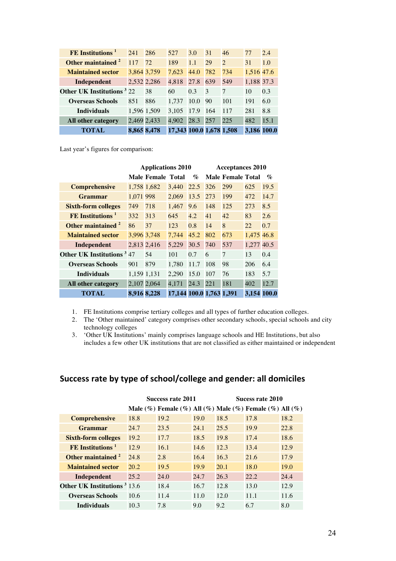| FE Institutions <sup>1</sup>          | 241 | 286         | 527                      | 3.0      | 31  | 46            | 77          | 2.4  |
|---------------------------------------|-----|-------------|--------------------------|----------|-----|---------------|-------------|------|
| Other maintained <sup>2</sup>         | 117 | 72          | 189                      | 1.1      | 29  | $\mathcal{D}$ | 31          | 1.0  |
| <b>Maintained sector</b>              |     | 3,864 3,759 | 7.623                    | 44.0     | 782 | 734           | 1,516 47.6  |      |
| Independent                           |     | 2,532 2,286 | 4,818                    | 27.8     | 639 | 549           | 1,188 37.3  |      |
| Other UK Institutions <sup>3</sup> 22 |     | 38          | 60                       | 0.3      | 3   | 7             | 10          | 0.3  |
| <b>Overseas Schools</b>               | 851 | 886         | 1.737                    | 10.0     | 90  | 101           | 191         | 6.0  |
| <b>Individuals</b>                    |     | 1,596 1,509 | 3.105                    | 17.9 164 |     | 117           | 281         | 8.8  |
| All other category                    |     | 2,469 2,433 | 4.902                    | 28.3     | 257 | 225           | 482         | 15.1 |
| TOTAL                                 |     | 8,865 8,478 | 17,343 100.0 1,678 1,508 |          |     |               | 3.186 100.0 |      |

Last year's figures for comparison:

|                                              |             | <b>Applications 2010</b> |                          |                             |     | <b>Acceptances 2010</b>  |             |                  |
|----------------------------------------------|-------------|--------------------------|--------------------------|-----------------------------|-----|--------------------------|-------------|------------------|
|                                              |             | Male Female Total        |                          | $\mathcal{O}_{\mathcal{O}}$ |     | <b>Male Female Total</b> |             | $\mathcal{O}'_0$ |
| <b>Comprehensive</b>                         |             | 1,758 1,682              | 3.440                    | 22.5                        | 326 | 299                      | 625         | 19.5             |
| <b>Grammar</b>                               | 1,071 998   |                          | 2.069                    | 13.5                        | 273 | 199                      | 472         | 14.7             |
| <b>Sixth-form colleges</b>                   | 749         | 718                      | 1,467                    | 9.6                         | 148 | 125                      | 273         | 8.5              |
| FE Institutions <sup>1</sup>                 | 332         | 313                      | 645                      | 4.2                         | 41  | 42                       | 83          | 2.6              |
| Other maintained <sup>2</sup>                | 86          | 37                       | 123                      | 0.8                         | 14  | 8                        | 22          | 0.7              |
| <b>Maintained sector</b>                     |             | 3.996 3.748              | 7.744                    | 45.2                        | 802 | 673                      | 1.475 46.8  |                  |
| Independent                                  | 2,813 2,416 |                          | 5.229                    | 30.5                        | 740 | 537                      | 1.277 40.5  |                  |
| <b>Other UK Institutions</b> <sup>3</sup> 47 |             | 54                       | 101                      | 0.7                         | 6   | $\overline{7}$           | 13          | 0.4              |
| <b>Overseas Schools</b>                      | 901         | 879                      | 1.780                    | 11.7                        | 108 | 98                       | 206         | 6.4              |
| <b>Individuals</b>                           | 1,159 1,131 |                          | 2.290                    | 15.0                        | 107 | 76                       | 183         | 5.7              |
| All other category                           | 2,107 2,064 |                          | 4,171                    | 24.3                        | 221 | 181                      | 402         | 12.7             |
| <b>TOTAL</b>                                 | 8,916 8,228 |                          | 17,144 100.0 1,763 1,391 |                             |     |                          | 3.154 100.0 |                  |

1. FE Institutions comprise tertiary colleges and all types of further education colleges.

- 2. The 'Other maintained' category comprises other secondary schools, special schools and city technology colleges
- 3. 'Other UK Institutions' mainly comprises language schools and HE Institutions, but also includes a few other UK institutions that are not classified as either maintained or independent

## Success rate by type of school/college and gender: all domiciles

|                                                | <b>Success rate 2011</b> |                                                                           |      | Sucess rate 2010 |      |      |
|------------------------------------------------|--------------------------|---------------------------------------------------------------------------|------|------------------|------|------|
|                                                |                          | Male $(\%)$ Female $(\%)$ All $(\%)$ Male $(\%)$ Female $(\%)$ All $(\%)$ |      |                  |      |      |
| <b>Comprehensive</b>                           | 18.8                     | 19.2                                                                      | 19.0 | 18.5             | 17.8 | 18.2 |
| Grammar                                        | 24.7                     | 23.5                                                                      | 24.1 | 25.5             | 19.9 | 22.8 |
| <b>Sixth-form colleges</b>                     | 19.2                     | 17.7                                                                      | 18.5 | 19.8             | 17.4 | 18.6 |
| $FE$ Institutions <sup>1</sup>                 | 12.9                     | 16.1                                                                      | 14.6 | 12.3             | 13.4 | 12.9 |
| Other maintained <sup>2</sup>                  | 24.8                     | 2.8                                                                       | 16.4 | 16.3             | 21.6 | 17.9 |
| <b>Maintained sector</b>                       | 20.2                     | 19.5                                                                      | 19.9 | 20.1             | 18.0 | 19.0 |
| Independent                                    | 25.2                     | 24.0                                                                      | 24.7 | 26.3             | 22.2 | 24.4 |
| <b>Other UK Institutions</b> <sup>3</sup> 13.6 |                          | 18.4                                                                      | 16.7 | 12.8             | 13.0 | 12.9 |
| <b>Overseas Schools</b>                        | 10.6                     | 11.4                                                                      | 11.0 | 12.0             | 11.1 | 11.6 |
| <b>Individuals</b>                             | 10.3                     | 7.8                                                                       | 9.0  | 9.2              | 6.7  | 8.0  |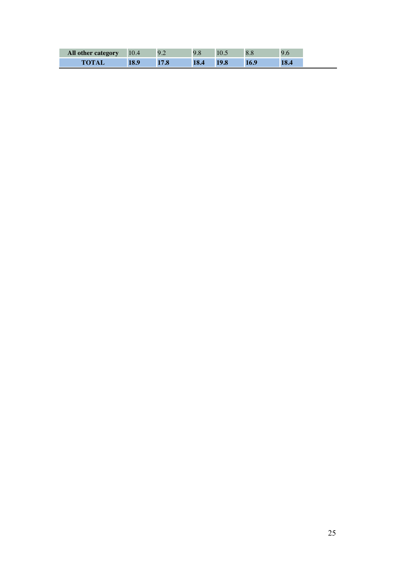| 18.9<br>18.4<br>19.8<br>18.4<br>17.8<br>16.9 |
|----------------------------------------------|
|                                              |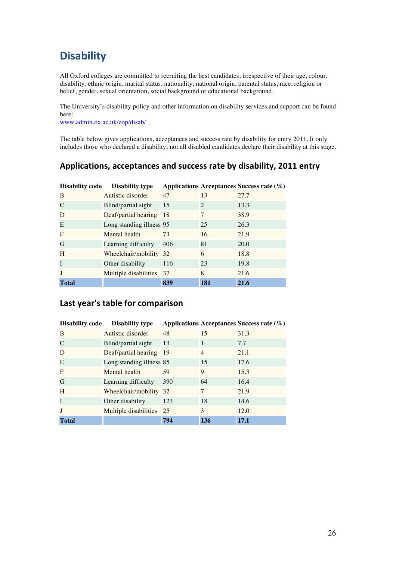## **Disability**

All Oxford colleges are committed to recruiting the best candidates, irrespective of their age, colour, disability, ethnic origin, marital status, nationality, national origin, parental status, race, religion or belief, gender, sexual orientation, social background or educational background.

The University's disability policy and other information on disability services and support can be found here:

www.admin.ox.ac.uk/eop/disab/

The table below gives applications, acceptances and success rate by disability for entry 2011. It only includes those who declared a disability; not all disabled candidates declare their disability at this stage.

## Applications, acceptances and success rate by disability, 2011 entry

| <b>Disability code</b> | <b>Disability type</b>   |               |                             | Applications Acceptances Success rate $(\%)$ |
|------------------------|--------------------------|---------------|-----------------------------|----------------------------------------------|
| B                      | Autistic disorder        | 47            | 13                          | 27.7                                         |
|                        | Blind/partial sight      | 15            | $\mathcal{D}_{\mathcal{L}}$ | 13.3                                         |
| D                      | Deaf/partial hearing     | <sup>18</sup> | 7                           | 38.9                                         |
| E                      | Long standing illness 95 |               | 25                          | 26.3                                         |
| F                      | Mental health            | 73            | 16                          | 21.9                                         |
| G                      | Learning difficulty      | 406           | 81                          | 20.0                                         |
| H                      | Wheelchair/mobility 32   |               | 6                           | 18.8                                         |
| I                      | Other disability         | 116           | 23                          | 19.8                                         |
| J                      | Multiple disabilities 37 |               | 8                           | 21.6                                         |
| <b>Total</b>           |                          | 839           | 181                         | 21.6                                         |

### Last year's table for comparison

| <b>Disability code</b> | <b>Disability type</b>   |           |                | Applications Acceptances Success rate (%) |
|------------------------|--------------------------|-----------|----------------|-------------------------------------------|
| B                      | Autistic disorder        | 48        | 15             | 31.3                                      |
| C                      | Blind/partial sight      | 13        |                | 7.7                                       |
| D                      | Deaf/partial hearing     | <b>19</b> | $\overline{4}$ | 21.1                                      |
| E                      | Long standing illness 85 |           | 15             | 17.6                                      |
| F                      | Mental health            | 59        | 9              | 15.3                                      |
| G                      | Learning difficulty      | 390       | 64             | 16.4                                      |
| H                      | Wheelchair/mobility 32   |           | 7              | 21.9                                      |
| I                      | Other disability         | 123       | 18             | 14.6                                      |
| J                      | Multiple disabilities 25 |           | 3              | 12.0                                      |
| <b>Total</b>           |                          | 794       | 136            | 17.1                                      |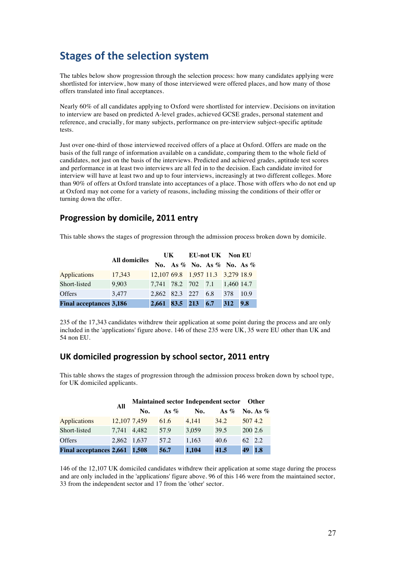## **Stages of the selection system**

The tables below show progression through the selection process: how many candidates applying were shortlisted for interview, how many of those interviewed were offered places, and how many of those offers translated into final acceptances.

Nearly 60% of all candidates applying to Oxford were shortlisted for interview. Decisions on invitation to interview are based on predicted A-level grades, achieved GCSE grades, personal statement and reference, and crucially, for many subjects, performance on pre-interview subject-specific aptitude tests.

Just over one-third of those interviewed received offers of a place at Oxford. Offers are made on the basis of the full range of information available on a candidate, comparing them to the whole field of candidates, not just on the basis of the interviews. Predicted and achieved grades, aptitude test scores and performance in at least two interviews are all fed in to the decision. Each candidate invited for interview will have at least two and up to four interviews, increasingly at two different colleges. More than 90% of offers at Oxford translate into acceptances of a place. Those with offers who do not end up at Oxford may not come for a variety of reasons, including missing the conditions of their offer or turning down the offer.

### **Progression by domicile, 2011 entry**

This table shows the stages of progression through the admission process broken down by domicile.

|                                | <b>All domiciles</b> | UK <b>National</b>                |  |                                     | <b>EU-not UK</b> Non EU |  |
|--------------------------------|----------------------|-----------------------------------|--|-------------------------------------|-------------------------|--|
|                                |                      |                                   |  | No. As $\%$ No. As $\%$ No. As $\%$ |                         |  |
| <b>Applications</b>            | 17,343               | 12,107 69.8 1,957 11.3 3,279 18.9 |  |                                     |                         |  |
| Short-listed                   | 9.903                | 7,741 78.2 702 7.1 1,460 14.7     |  |                                     |                         |  |
| <b>Offers</b>                  | 3.477                | 2.862 82.3 227 6.8                |  |                                     | 378 10.9                |  |
| <b>Final acceptances 3,186</b> |                      | 2,661 83.5 213 6.7                |  |                                     | 312 9.8                 |  |

235 of the 17,343 candidates withdrew their application at some point during the process and are only included in the 'applications' figure above. 146 of these 235 were UK, 35 were EU other than UK and 54 non EU.

### UK domiciled progression by school sector, 2011 entry

This table shows the stages of progression through the admission process broken down by school type, for UK domiciled applicants.

|                               | All          |     |         | Maintained sector Independent sector Other |                     |         |            |
|-------------------------------|--------------|-----|---------|--------------------------------------------|---------------------|---------|------------|
|                               |              | No. | As $\%$ | No.                                        | As $\%$ No. As $\%$ |         |            |
| <b>Applications</b>           | 12,107 7,459 |     | 61.6    | 4.141                                      | 34.2                | 507 4.2 |            |
| Short-listed                  | 7,741 4,482  |     | 57.9    | 3,059                                      | 39.5                | 200 2.6 |            |
| <b>Offers</b>                 | 2,862 1,637  |     | 57.2    | 1.163                                      | 40.6                | 62 2.2  |            |
| Final acceptances 2,661 1,508 |              |     | 56.7    | 1,104                                      | 41.5                | 49      | <b>1.8</b> |

146 of the 12,107 UK domiciled candidates withdrew their application at some stage during the process and are only included in the 'applications' figure above. 96 of this 146 were from the maintained sector, 33 from the independent sector and 17 from the 'other' sector.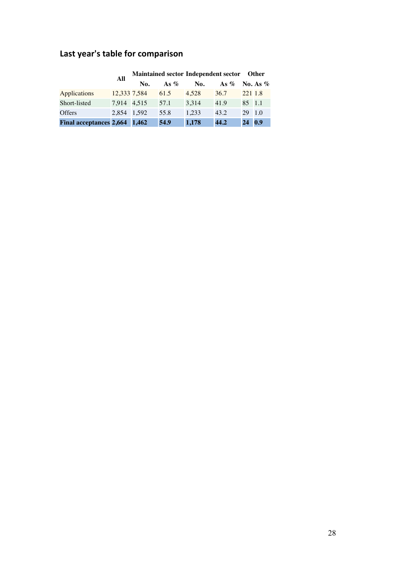|                               | All          | Maintained sector Independent sector Other |         |       |         |            |                  |  |
|-------------------------------|--------------|--------------------------------------------|---------|-------|---------|------------|------------------|--|
|                               |              | No.                                        | As $\%$ | No.   | As $\%$ |            | No. As $%$       |  |
| <b>Applications</b>           | 12,333 7,584 |                                            | 61.5    | 4.528 | 36.7    | 221 1.8    |                  |  |
| Short-listed                  | 7,914 4,515  |                                            | 57.1    | 3,314 | 41.9    | 85 1.1     |                  |  |
| <b>Offers</b>                 | 2,854 1,592  |                                            | 55.8    | 1.233 | 43.2    | 29         | $\overline{1.0}$ |  |
| Final acceptances 2,664 1,462 |              |                                            | 54.9    | 1,178 | 44.2    | $24 \t0.9$ |                  |  |

## Last year's table for comparison